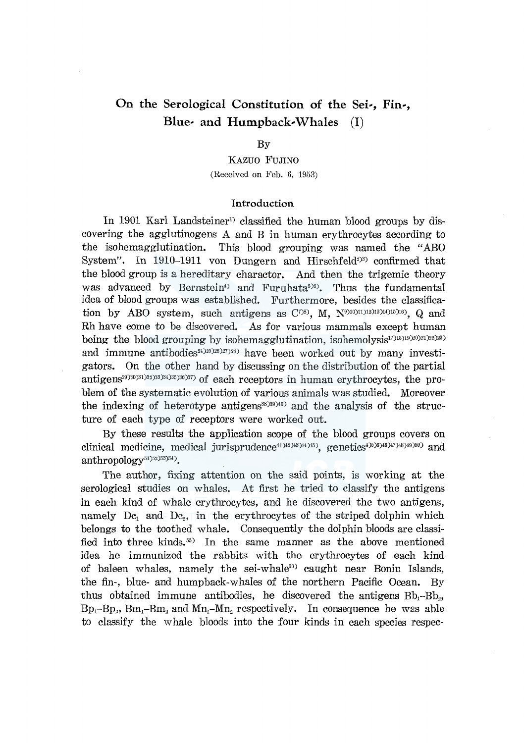# **On the Serological Constitution of the Sei-, Fin-, Blue- and Humpback-Whales** (I)

#### By

KAZUO FUJINO (Received on Feb. 6, 1953)

#### **Introduction**

In 1901 Karl Landsteiner<sup>1</sup> classified the human blood groups by discovering the agglutinogens A and B in human erythrocytes according to the isohemagglutination. This blood grouping was named the "ABO System". In  $1910-1911$  von Dungern and Hirschfeld<sup>233</sup> confirmed that the blood group is a hereditary charactor. And then the trigemic theory was advanced by Bernstein<sup>4</sup> and Furuhata<sup>5)6</sup>. Thus the fundamental idea of blood groups was established. Furthermore, besides the classification by ABO system, such antigens as  $C^{7(8)}$ , M,  $N^{910(11112)13(14)15(16)}$ , Q and Rh have come to be discovered. As for various mammals except human being the blood grouping by isohemagglutination, isohemolysis<sup>17</sup><sup>18</sup>)<sup>19</sup>)<sup>29</sup>)<sup>22</sup>)<sup>23</sup>) and immune antibodies<sup>24)25)26</sup>)<sup>27</sup>)<sup>28</sup>) have been worked out by many investigators. On the other hand by discussing on the distribution of the partial antigens<sup>29)30)31</sup>)32)33)34)35)36)37) of each receptors in human erythrocytes, the problem of the systematic evolution of various animals was studied. Moreover the indexing of heterotype antigens<sup>38</sup> $)393$ <sup>40</sup>) and the analysis of the structure of each type of receptors were worked out.

By these results the application scope of the blood groups covers on clinical medicine, medical jurisprudence<sup>41)42)43</sup>)<sup>43</sup>)<sub>43</sub> genetics<sup>4)5)6)46)<sup>47</sup>)<sup>48)40</sup>)<sup>50</sup>) and</sup> anthropology<sup>51)52)53)54)</sup>.

The author, fixing attention on the said points, is working at the serological studies on whales. At first he tried to classify the antigens in each kind of whale erythrocytes, and he discovered the two antigens, namely Dc<sub>1</sub> and Dc<sub>2</sub>, in the erythrocytes of the striped dolphin which belongs to the toothed whale. Consequently the dolphin bloods are classified into three kinds. 55) In the same manner as the above mentioned idea he immunized the rabbits with the erythrocytes of each kind of baleen whales, namely the sei-whale<sup>56)</sup> caught near Bonin Islands, the fin-, blue- and humpback-whales of the northern Pacific Ocean. By thus obtained immune antibodies, he discovered the antigens  $Bb_1-Bb_2$ ,  $Bp_1-Bp_2$ ,  $Bm_1-Bm_2$  and  $Mn_1-Mn_2$  respectively. In consequence he was able to classify the whale bloods into the four kinds in each species respec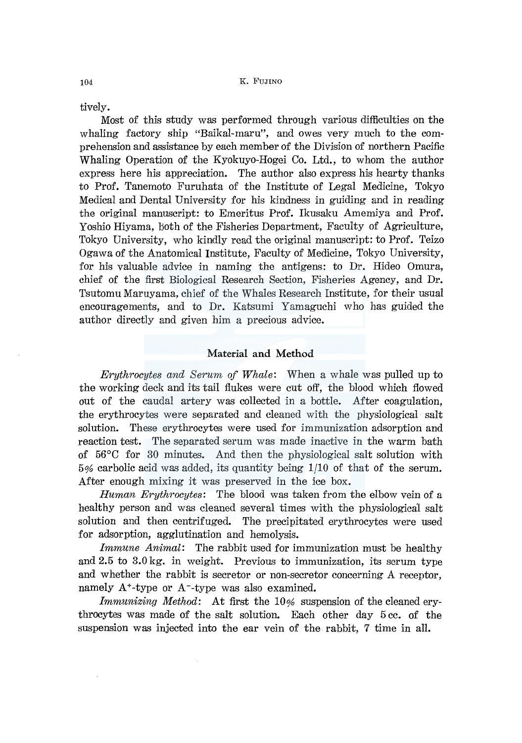tively.

Most of this study was performed through various difficulties on the whaling factory ship "Baikal-maru", and owes very much to the comprehension and assistance by each member of the Division of northern Pacific Whaling Operation of the Kyokuyo-Hogei Co. Ltd., to whom the author express here his appreciation. The author also express his hearty thanks to Prof. Tanemoto Furuhata of the Institute of Legal Medicine, Tokyo Medical and Dental University for his kindness in guiding and in reading the original manuscript: to Emeritus Prof. Ikusaku Amemiya and Prof. Yoshio Hiyama, both of the Fisheries Department, Faculty of Agriculture, Tokyo University, who kindly read the original manuscript: to Prof. Teizo Ogawa of the Anatomical Institute, Faculty of Medicine, Tokyo University, for his valuable advice in naming the antigens: to Dr. Hideo Omura, chief of the first Biological Research Section, Fisheries Agency, and Dr. Tsutomu Maruyama, chief of the Whales Research Institute, for their usual encouragements, and to Dr. Katsumi Yamaguchi who has guided the author directly and given him a precious advice.

#### **Material and Method**

*Erythrocytes and Serum of Whale:* When a whale was pulled up to the working deck and its tail flukes were cut off, the blood which flowed out of the caudal artery was collected in a bottle. After coagulation, the erythrocytes were separated and cleaned with the physiological salt solution. These erythrocytes were used for immunization adsorption and reaction test. The separated serum was made inactive in the warm bath of 56°C for 30 minutes. And then the physiological salt solution with  $5%$  carbolic acid was added, its quantity being  $1/10$  of that of the serum. After enough mixing it was preserved in the ice box.

*Human Erythrocytes:* The blood was taken from the elbow vein of a healthy person and was cleaned several times with the physiological salt solution and then centrifuged. The precipitated erythrocytes were used for adsorption, agglutination and hemolysis.

*Immune Animal:* The rabbit used for immunization must be healthy and 2.5 to 3.0 kg. in weight. Previous to immunization, its serum type and whether the rabbit is secretor or non-secretor concerning A receptor, namely  $A^*$ -type or  $A^-$ -type was also examined.

Immunizing Method: At first the 10% suspension of the cleaned erythrocytes was made of the salt solution. Each other day 5 cc. of the suspension was injected into the ear vein of the rabbit, 7 time in all.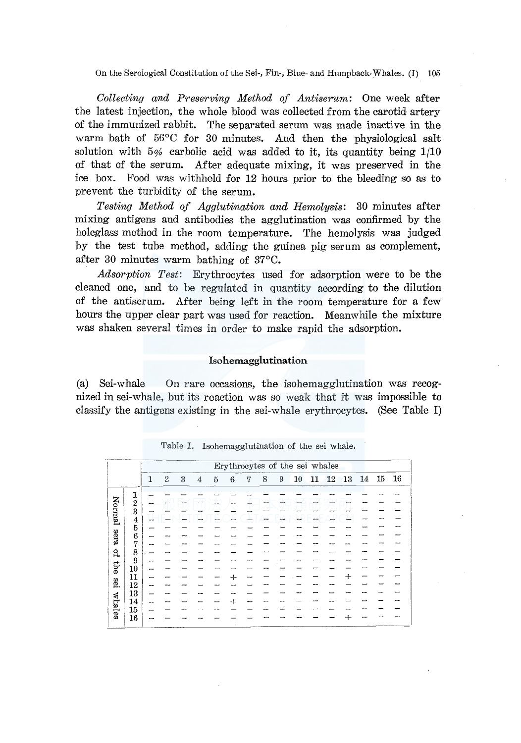On the Serological Constitution of the Sei-, Fin-, Blue- and Humpback-Whales. (I) 105

*Collecting and Preserving Method of Antiserum:* One week after the latest injection, the whole blood was collected from the carotid artery of the immunized rabbit. The separated serum was made inactive in the warm bath of 56°C for 30 minutes. And then the physiological salt solution with  $5\%$  carbolic acid was added to it, its quantity being  $1/10$ of that of the serum. After adequate mixing, it was preserved in the ice box. Food was withheld for 12 hours prior to the bleeding so as to prevent the turbidity of the serum.

*Testing Method of Agglutination and Hemolysis:* 30 minutes after mixing antigens and antibodies the agglutination was confirmed by the holeglass method in the room temperature. The hemolysis was judged by the test tube method, adding the guinea pig serum as complement, after 30 minutes warm bathing of 37°C.

*Adsorption Test:* Erythrocytes used for adsorption were to be the cleaned one, and to be regulated in quantity according to the dilution of the antiserum. After being left in the room temperature for a few hours the upper clear part was used for reaction. Meanwhile the mixture was shaken several times in order to make rapid the adsorption.

### lsohemagglutination

(a) Sei-whale On rare occasions, the isohemagglutination was recognized in sei-whale, but its reaction was so weak that it was impossible to classify the antigens existing in the sei-whale erythrocytes. (See Table I)

|             |                                            |    |                  |   |   |   |   |   |   |   |    |    | Erythrocytes of the sei whales |     |    |    |      |
|-------------|--------------------------------------------|----|------------------|---|---|---|---|---|---|---|----|----|--------------------------------|-----|----|----|------|
|             |                                            | 1  | $\boldsymbol{2}$ | 3 | 4 | 5 | 6 | 7 | 8 | 9 | 10 | 11 | 12                             | 13  | 14 | 15 | - 16 |
|             | 1                                          |    |                  |   |   |   |   |   |   |   |    |    |                                |     |    |    |      |
| Normal      | $\boldsymbol{2}$                           |    |                  |   |   |   |   |   |   |   |    |    |                                |     |    |    |      |
|             | 3                                          |    |                  |   |   |   |   |   |   |   |    |    |                                |     |    |    |      |
|             |                                            | -- |                  |   |   |   |   |   |   |   |    |    |                                |     |    |    |      |
|             | $\frac{4}{5}$                              |    |                  |   |   |   |   |   |   |   |    |    |                                |     |    |    |      |
| <b>Sera</b> | 6                                          |    |                  |   |   |   |   |   |   |   |    |    |                                |     |    |    |      |
|             | 7                                          |    |                  |   |   |   |   |   |   |   |    |    |                                |     |    |    |      |
| S,          | $\begin{smallmatrix}8\\9\end{smallmatrix}$ |    |                  |   |   |   |   |   |   |   |    |    |                                |     |    |    |      |
|             |                                            |    |                  |   |   |   |   |   |   |   |    |    |                                |     |    |    |      |
| the         | 10                                         |    |                  |   |   |   |   |   |   |   |    |    |                                |     |    |    |      |
|             | 11                                         |    |                  |   |   |   |   |   |   |   |    |    |                                | ┿   |    |    |      |
| Iæ.         | 12                                         |    |                  |   |   |   |   |   |   |   |    |    |                                |     |    |    |      |
|             | 13                                         |    |                  |   |   |   |   |   |   |   |    |    |                                |     |    |    |      |
|             | 14                                         |    |                  |   |   |   |   |   |   |   |    |    |                                |     |    |    |      |
|             | 15                                         |    |                  |   |   |   |   |   |   |   |    |    |                                |     |    |    |      |
| whales      | 16                                         |    |                  |   |   |   |   |   |   |   |    |    |                                | $+$ |    |    |      |

Table I. Isohemagglutination of the sei whale.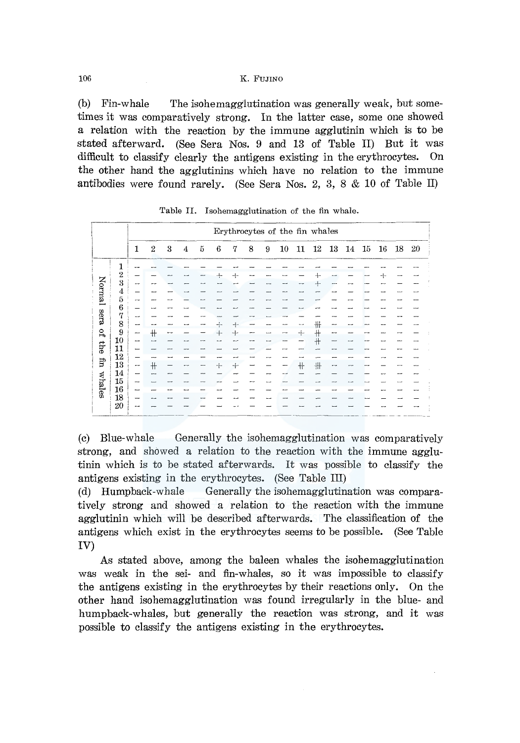106 K. FUJINO

(b) Fin-whale The isohemagglutination was generally weak, but sometimes it was comparatively strong. In the latter case, some one showed a relation with the reaction by the immune agglutinin which is to be stated afterward. (See Sera Nos. 9 and 13 of Table II) But it was difficult to classify clearly the antigens existing in the erythrocytes. On the other hand the agglutinins which have no relation to the immune antibodies were found rarely. (See Sera Nos. 2, 3, 8 & 10 of Table II)

|                         |                  |                          |                |    |   |     |     |     |   |   |        |                | Erythrocytes of the fin whales |                          |    |    |    |    |    |
|-------------------------|------------------|--------------------------|----------------|----|---|-----|-----|-----|---|---|--------|----------------|--------------------------------|--------------------------|----|----|----|----|----|
|                         |                  | 1                        | $\overline{2}$ | 3  | 4 | 5   | 6   | 7   | 8 | 9 | $10\,$ | 11             | 12                             | 13                       | 14 | 15 | 16 | 18 | 20 |
|                         | 1                |                          |                |    |   |     |     |     |   |   |        |                |                                |                          |    |    |    |    |    |
|                         | $\overline{2}$   |                          |                |    |   |     | $+$ | $+$ |   |   |        |                | $\div$                         | --                       |    |    | ┽  |    |    |
|                         | 3                | $\overline{\phantom{a}}$ |                |    |   |     |     |     |   |   |        |                | ⊹⊦                             |                          |    |    |    |    |    |
|                         |                  |                          |                |    |   |     |     |     |   |   |        |                |                                |                          |    |    |    |    |    |
| Normal                  | $\frac{4}{5}$    |                          |                |    |   |     |     |     |   |   |        |                |                                |                          |    |    |    |    |    |
|                         | $\boldsymbol{6}$ |                          |                |    |   |     |     |     |   |   |        |                |                                |                          |    |    |    |    |    |
| sera                    | 7                | $\overline{\phantom{0}}$ |                |    |   |     |     |     |   |   |        |                |                                |                          |    |    |    |    |    |
|                         | $\frac{8}{9}$    | --                       |                |    |   |     | ÷   | ⊣∼  |   |   |        |                | ╫                              |                          |    |    |    |    |    |
| $\mathsf{G}_\mathsf{L}$ |                  | -                        | $+$            | -- |   |     | $+$ | $+$ |   |   | ⊸      | $+$            | ╫                              | -                        |    |    |    |    |    |
|                         | 10               | -                        |                |    |   |     |     |     |   |   |        |                | $\pm$                          |                          |    |    |    |    |    |
| ey <sub>1</sub>         | 11               | -                        |                |    |   |     |     |     |   |   |        |                |                                |                          |    |    |    |    |    |
|                         | 12               | -                        | ---            |    |   |     |     |     |   |   |        | <b>COMPANY</b> | --                             |                          |    |    |    |    |    |
| fin                     | 13               | --                       | #              |    |   | --- | -1- | $+$ |   |   |        | $+$            | 卅                              | $\overline{\phantom{a}}$ |    |    |    |    |    |
|                         | 14               | -                        |                |    |   |     |     |     |   |   |        |                |                                |                          |    |    |    |    |    |
| whales                  | 15               | --                       |                |    |   |     |     |     |   |   |        |                |                                |                          |    |    |    |    |    |
|                         | 16               | ---                      |                |    |   |     |     |     |   |   |        |                |                                |                          |    |    |    |    |    |
|                         | 18               |                          |                |    |   |     |     |     |   |   |        |                |                                |                          |    |    |    |    |    |
|                         | 20               |                          |                |    |   |     |     |     |   |   |        |                |                                |                          |    |    |    |    |    |

Table II. Isohemagglutination of the fin whale.

(c) Blue-whale Generally the isohemagglutination was comparatively strong, and showed a relation to the reaction with the immune agglutinin which is to be stated afterwards. It was possible to classify the antigens existing in the erythrocytes. (See Table III)

(d) Humpback-whale Generally the isohemagglutination was comparatively strong and showed a relation to the reaction with the immune agglutinin which will be described afterwards. The classification of the antigens which exist in the erythrocytes seems to be possible. (See Table IV)

As stated above, among the baleen whales the isohemagglutination was weak in the sei- and fin-whales, so it was impossible to classify the antigens existing in the erythrocytes by their reactions only. On the other hand isohemagglutination was found irregularly in the blue- and humpback-whales, but generally the reaction was strong, and it was possible to classify the antigens existing in the erythrocytes.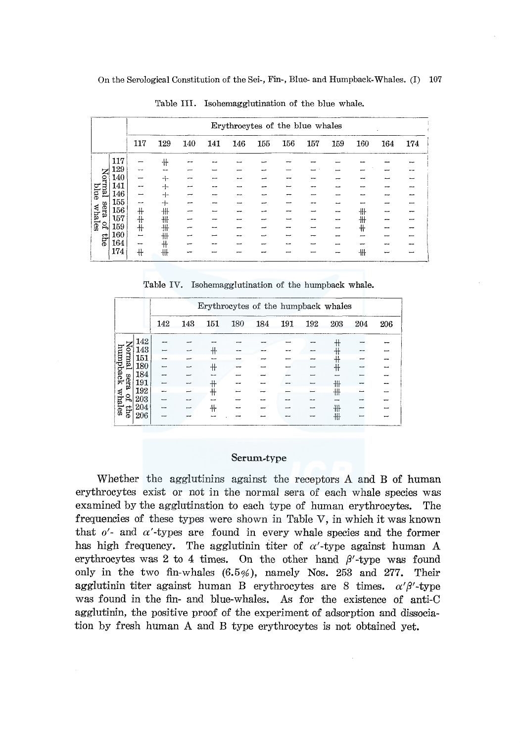|        |     |           |     |     |     | Erythrocytes of the blue whales |     |     |     |     |     |     |     |
|--------|-----|-----------|-----|-----|-----|---------------------------------|-----|-----|-----|-----|-----|-----|-----|
|        |     | 117       | 129 | 140 | 141 | 146                             | 155 | 156 | 157 | 159 | 160 | 164 | 174 |
|        | 117 |           | ╫   |     |     |                                 |     |     |     |     |     |     |     |
|        | 129 | --        |     |     |     |                                 |     |     |     |     |     |     |     |
| Normal | 140 |           | $+$ |     |     |                                 |     |     |     |     |     |     |     |
|        | 141 |           | $+$ |     |     |                                 |     |     |     |     |     |     |     |
| blue   | 146 |           | $+$ |     |     |                                 |     |     |     |     |     |     |     |
|        | 155 | $-$       | $+$ |     |     |                                 |     |     |     |     |     |     |     |
| sera   | 156 | $+$       | 卌   |     |     |                                 |     |     |     |     | ╫   |     |     |
| whales | 157 | ╫         | ╫   |     |     |                                 |     |     |     |     | ╫   |     |     |
| 읿      | 159 | $\ddot{}$ | 卅   |     |     |                                 |     |     |     |     | ╫   |     |     |
| the    | 160 | -         | 卌   |     |     |                                 |     |     |     |     |     |     |     |
|        | 164 | -         | 卝   |     |     |                                 |     |     |     |     |     |     |     |
|        | 174 | #         | ₩   |     |     |                                 |     |     |     |     | ╫   |     |     |

Table III. Isohemagglutination of the blue whale.

Table IV. Isohemagglutination of the humpback whale.

|          |         |     |     |     | Erythrocytes of the humpback whales |     |     |     |            |     |     |
|----------|---------|-----|-----|-----|-------------------------------------|-----|-----|-----|------------|-----|-----|
|          |         | 142 | 143 | 151 | 180                                 | 184 | 191 | 192 | 203        | 204 | 206 |
|          | 142     |     |     |     |                                     |     |     |     | ╫          |     |     |
| kma.     | $143\,$ |     |     | ╫   |                                     |     |     |     | ╫          |     |     |
|          | 151     |     |     |     |                                     |     |     |     | $^{\rm +}$ |     |     |
| humpback | 180     |     |     | ╫   |                                     |     |     |     | ╫          |     |     |
|          | 184     |     |     |     |                                     |     |     |     |            |     |     |
| sera     | 191     |     |     | ╫   |                                     |     |     |     | ₩          |     |     |
|          | 192     |     |     | ╫   |                                     |     |     |     | 卝          |     |     |
| 않        | 203     |     |     |     |                                     |     |     |     |            |     |     |
| whales   | 204     |     |     |     |                                     |     |     |     | ╫╂         |     |     |
| erp      | 206     |     |     |     |                                     |     |     |     | ╫          |     |     |

#### Serum-type

Whether the agglutinins against the receptors A and B of human erythrocytes exist or not in the normal sera of each whale species was examined by the agglutination to each type of human erythrocytes. The frequencies of these types were shown in Table V, in which it was known that  $o'$ - and  $\alpha'$ -types are found in every whale species and the former has high frequency. The agglutinin titer of  $\alpha'$ -type against human A erythrocytes was 2 to 4 times. On the other hand  $\beta'$ -type was found only in the two fin-whales  $(6.5\%)$ , namely Nos. 253 and 277.  ${\rm Their}$ agglutinin titer against human B erythrocytes are 8 times.  $\alpha' \beta'$ -type was found in the fin- and blue-whales. As for the existence of anti-C agglutinin, the positive proof of the experiment of adsorption and dissociation by fresh human A and B type erythrocytes is not obtained yet.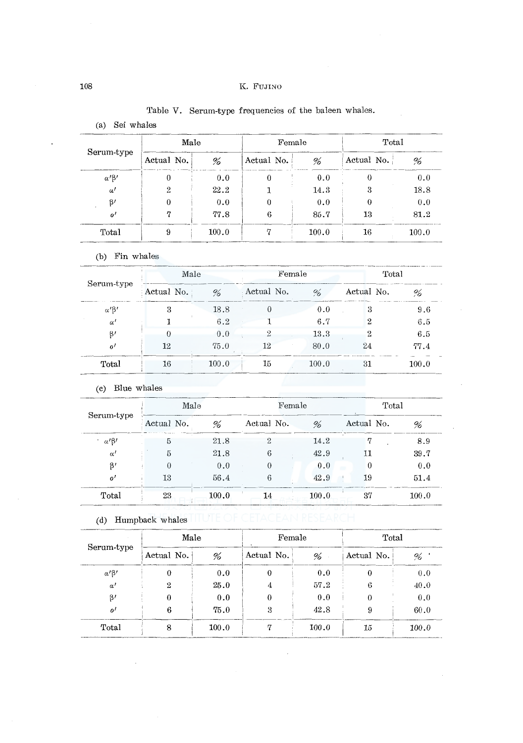## 108 K. FuJrno

|                  | Male       |       | Female     |       | Total      |       |  |  |
|------------------|------------|-------|------------|-------|------------|-------|--|--|
| Serum-type       | Actual No. | %     | Actual No. | %     | Actual No. | %     |  |  |
| $\alpha' \beta'$ | 0          | 0.0   | 0          | 0.0   |            | 0.0   |  |  |
| $\alpha'$        | 2          | 22.2  |            | 14.3  | 3          | 18.8  |  |  |
| $\beta'$         |            | 0.0   |            | 0.0   | 0          | 0.0   |  |  |
| $^{\prime}$      | 77         | 77.8  | 6          | 85.7  | 13         | 81.2  |  |  |
| Total            |            | 100.0 |            | 100.0 | 16         | 100.0 |  |  |

# Table V. Serum-type frequencies of the baleen whales.

(b) Fin whales

(a) Sei whales

|                      | Male       |       | Female     |                           | Total      |       |
|----------------------|------------|-------|------------|---------------------------|------------|-------|
| Serum-type           | Actual No. | %     | Actual No. | $\mathcal{O}_\mathcal{F}$ | Actual No. | %     |
| $\alpha$ ' $\beta$ ' | 3          | 18.8  | 0          | 0.0                       | 3          | 9.6   |
| $\alpha'$            |            | 6.2   |            | 6.7                       | 2          | 6.5   |
| $\beta'$             |            | 0.0   | 2          | 13.3                      |            | 6.5   |
| $\theta$             | 12         | 75.0  | 12         | 80.0                      | 24         | 77.4  |
| Total                | 16         | 100.0 | 15         | 100.0                     | 31         | 100.0 |

(c) Blue whales

|                      | Male       |       | Female     |       | Total      |       |  |  |
|----------------------|------------|-------|------------|-------|------------|-------|--|--|
| Serum-type           | Actual No. | %     | Actual No. | %     | Actual No. | %     |  |  |
| $\alpha$ ' $\beta$ ' |            | 21.8  | 2          | 14.2  | 7          | 8.9   |  |  |
| $\alpha'$            | 5          | 21.8  | 6          | 42.9  | 11         | 39.7  |  |  |
| $\beta'$             |            | 0.0   | 0          | 0.0   | 0          | 0.0   |  |  |
| $\boldsymbol{o}'$    | 13         | 56.4  | 6          | 42.9  | 19         | 51.4  |  |  |
| Total                | 23         | 100.0 | 14         | 100.0 | 37         | 100.0 |  |  |

| (d) Humpback whales |  |
|---------------------|--|
|---------------------|--|

|                  | Male       |       | Female<br>$\ddot{\phantom{1}}$ |       | Total      |       |  |  |
|------------------|------------|-------|--------------------------------|-------|------------|-------|--|--|
| Serum-type       | Actual No. | %     | Actual No.                     | %     | Actual No. | %     |  |  |
| $\alpha' \beta'$ | 0          | 0.0   |                                | 0.0   | 0          | 0.0   |  |  |
| $\alpha'$        | 2          | 25.0  |                                | 57.2  | 6          | 40.0  |  |  |
| $\beta'$         |            | 0.0   |                                | 0.0   | 0          | 0.0   |  |  |
| $\mathfrak{o}'$  | 6          | 75.0  | 3                              | 42.8  | 9          | 60.0  |  |  |
| Total            | 8          | 100.0 |                                | 100.0 | 15         | 100.0 |  |  |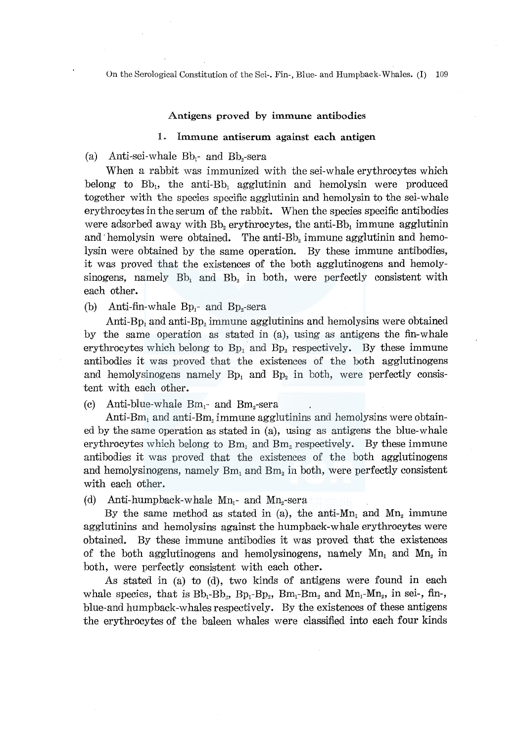#### Antigens proved by immune antibodies

#### 1. Immune antiserum against each antigen

#### (a) Anti-sei-whale  $Bb_1$ - and  $Bb_2$ -sera

When a rabbit was immunized with the sei-whale erythrocytes which belong to  $Bb_1$ , the anti- $Bb_1$  agglutinin and hemolysin were produced together with the species specific agglutinin and hemolysin to the sei-whale erythrocytes in the serum of the rabbit. When the species specific antibodies were adsorbed away with  $Bb_2$  erythrocytes, the anti- $Bb_1$  immune agglutinin and hemolysin were obtained. The anti-Bb<sub>2</sub> immune agglutinin and hemolysin were obtained by the same operation. By these immune antibodies, it was proved that the existences of the both agglutinogens and hemolysinogens, namely  $Bb_1$  and  $Bb_2$  in both, were perfectly consistent with each other.

(b) Anti-fin-whale  $Bp_i$ - and  $Bp_i$ -sera

Anti-Bp<sub>1</sub> and anti-Bp<sub>2</sub> immune agglutinins and hemolysins were obtained by the same operation as stated in (a), using as antigens the fin-whale erythrocytes which belong to  $Bp_1$  and  $Bp_2$  respectively. By these immune antibodies it was proved that the existences of the both agglutinogens and hemolysinogens namely  $Bp_1$  and  $Bp_2$  in both, were perfectly consistent with each other.

(c) Anti-blue-whale  $Bm_1$ - and  $Bm_2$ -sera

Anti-Bm<sub>1</sub> and anti-Bm<sub>2</sub> immune agglutinins and hemolysins were obtained by the same operation as stated in (a), using as antigens the blue-whale erythrocytes which belong to  $Bm_1$  and  $Bm_2$  respectively. By these immune antibodies it was proved that the existences of the both agglutinogens and hemolysinogens, namely  $Bm_1$  and  $Bm_2$  in both, were perfectly consistent with each other.

(d) Anti-humpback-whale  $Mn_1$ - and  $Mn_2$ -sera

By the same method as stated in (a), the anti-Mn<sub>1</sub> and Mn<sub>2</sub> immune agglutinins and hemolysins against the humpback-whale erythrocytes were obtained. By these immune antibodies it was proved that the existences of the both agglutinogens and hemolysinogens, namely  $Mn_1$  and  $Mn_2$  in both, were perfectly consistent with each other.

As stated in (a) to (d), two kinds of antigens were found in each whale species, that is  $Bb_1 - Bb_2$ ,  $Bp_1 - Bp_2$ ,  $Bm_1 - Bm_2$  and  $Mn_1 - Mn_2$ , in sei-, fin-, blue-and humpback-whales respectively. By the existences of these antigens the erythrocytes of the baleen whales were classified into each four kinds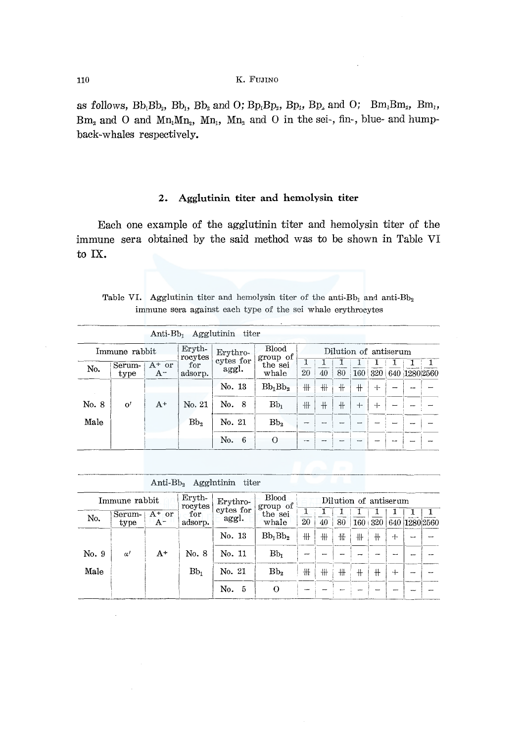as follows,  $Bb_1Bb_2$ ,  $Bb_1$ ,  $Bb_2$  and O;  $Bp_1Bp_2$ ,  $Bp_1$ ,  $Bp_2$  and O;  $Bm_1Bm_2$ ,  $Bm_1$ ,  $Bm<sub>2</sub>$  and O and  $Mn<sub>1</sub>Mn<sub>2</sub>$ ,  $Mn<sub>1</sub>$ ,  $Mn<sub>2</sub>$  and O in the sei-, fin-, blue- and humpback-whales respectively.

#### Agglutinin titer and hemolysin titer  $2.$

Each one example of the agglutinin titer and hemolysin titer of the immune sera obtained by the said method was to be shown in Table VI to IX.

|  | Table VI. Agglutinin titer and hemolysin titer of the anti- $Bb_1$ and anti- $Bb_2$ |  |  |  |  |
|--|-------------------------------------------------------------------------------------|--|--|--|--|
|  | immune sera against each type of the sei whale erythrocytes                         |  |  |  |  |

|       |                |                   |                   | Anti- $B_{D_1}$ Agglutinin titer |                          |                |     |    |     |                       |               |  |
|-------|----------------|-------------------|-------------------|----------------------------------|--------------------------|----------------|-----|----|-----|-----------------------|---------------|--|
|       | Immune rabbit  |                   | Eryth-<br>rocytes | Erythro-                         | <b>Blood</b><br>group of |                |     |    |     | Dilution of antiserum |               |  |
| No.   | Serum-<br>type | $A^+$ or<br>$A^-$ | for<br>adsorp.    | cytes for<br>aggl.               | the sei<br>whale         | 20             | 40  | 80 | 160 | 320                   | 640 1280 2560 |  |
|       |                |                   |                   | No. 13                           | $Bb_1Bb_2$               | ₩              | 卌   | 卄  | $+$ | $\mathrm{+}$          |               |  |
| No. 8 | $\mathbf{o}'$  | $A^+$             | No. 21            | No. 8                            | $Bb_1$                   | 卌              | $+$ | 卝  | $+$ | ⊣−                    |               |  |
| Male  |                |                   | Bb,               | No. 21                           | Bb <sub>2</sub>          | $\sim$         |     |    |     |                       |               |  |
|       |                |                   |                   | No. 6                            | $\Omega$                 | <b>Service</b> |     |    |     |                       |               |  |

| Anti- $Bb2$ | Agglutinin | titer |
|-------------|------------|-------|
|-------------|------------|-------|

|       | Immune rabbit  |                  | Eryth-<br>rocytes | Erythro-           | <b>Blood</b><br>group of |    |    |     | Dilution of antiserum |         |     |               |
|-------|----------------|------------------|-------------------|--------------------|--------------------------|----|----|-----|-----------------------|---------|-----|---------------|
| No.   | Serum-<br>type | $A+$ or<br>$A^-$ | for<br>adsorp.    | cytes for<br>aggl. | the sei<br>whale         | 20 | 40 | 80  |                       | 160 320 |     | 640 1280 2560 |
|       |                |                  |                   | No. 13             | $Bb_1Bb_2$               | ╫  | 卌  | ₩   | ╫                     | $+$     | $+$ |               |
| No. 9 | $\alpha'$      | $A^+$            | No. 8             | No. 11             | Bb <sub>1</sub>          | -  |    |     |                       |         |     |               |
| Male  |                |                  | $Bb_1$            | No. 21             | Bb <sub>2</sub>          | ╫  | ╫  | $+$ | $\pm$                 | ╫       | $+$ |               |
|       |                |                  |                   | No.<br>-5          | $\Omega$                 |    |    |     |                       |         |     |               |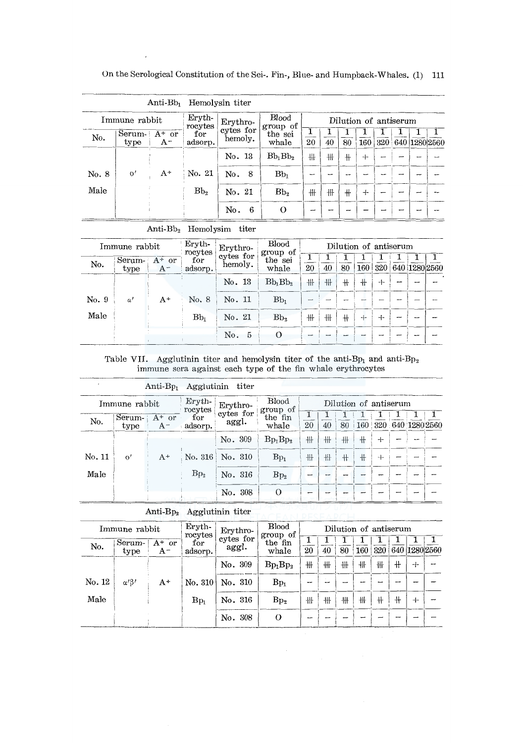| On the Serological Constitution of the Sei-. Fin-, Blue- and Humpback-Whales. (1) 111 |  |  |  |  |  |  |
|---------------------------------------------------------------------------------------|--|--|--|--|--|--|
|---------------------------------------------------------------------------------------|--|--|--|--|--|--|

|       |                | $\rm Anti\,Bb_1$  |                   | Hemolysin titer      |                          |    |    |     |                       |                  |               |  |
|-------|----------------|-------------------|-------------------|----------------------|--------------------------|----|----|-----|-----------------------|------------------|---------------|--|
|       | Immune rabbit  |                   | Eryth-<br>rocytes | Erythro-             | <b>Blood</b><br>group of |    |    |     | Dilution of antiserum |                  |               |  |
| No.   | Serum-<br>type | $A^+$ or<br>$A^-$ | for<br>adsorp.    | cytes for<br>hemoly. | the sei<br>whale         | 20 | 40 | 80  | 160                   | 320 <sup>1</sup> | 640 1280 2560 |  |
|       |                |                   |                   | No. 13               | $Bb_1Bb_2$               | 冊  | ₩  | $+$ | $+$                   |                  |               |  |
| No. 8 | $\Omega'$      | $A^+$             | No. 21            | No.<br>8             | $Bb_1$                   | -- |    |     | $\sim$                |                  |               |  |
| Male  |                |                   | Bb <sub>2</sub>   | No. 21               | Bb <sub>2</sub>          | ₩  | 卅  | $+$ | $+$                   |                  |               |  |
|       |                |                   |                   | No.<br>6             | $\Omega$                 | -  |    |     |                       |                  |               |  |

Anti-Bb<sub>2</sub> Hemolysim titer

|       | Immune rabbit  |                   | Eryth-<br>rocytes | Erythro-             | <b>Blood</b><br>group of |    |    |     | Dilution of antiserum |     |   |               |
|-------|----------------|-------------------|-------------------|----------------------|--------------------------|----|----|-----|-----------------------|-----|---|---------------|
| No.   | Serum-<br>type | $A^+$ or<br>$A^-$ | for<br>adsorp.    | cytes for<br>hemoly. | the sei<br>whale         | 20 | 40 | 80  | 160                   | 320 |   | 640 1280 2560 |
|       |                |                   |                   | No. 13               | $Bb_1Bb_2$               | ╫  | ╫  | $+$ | ╫                     | $+$ | - |               |
| No. 9 | $\alpha'$      | $A^+$             | No. 8             | No. 11               | Bb <sub>1</sub>          |    |    |     |                       |     |   |               |
| Male  |                |                   | $Bb_1$            | No. 21               | Bb <sub>2</sub>          | ₩  | ╫  | ╫   | $^{+}$                | $+$ |   |               |
|       |                |                   |                   | No.<br>- 5           | $\Omega$                 |    |    |     |                       |     |   |               |

# Table VII. Agglutinin titer and hemolysin titer of the anti-Bp<sub>1</sub> and anti-B<sub>P<sub>2</sub> immune sera against each type of the fin whale erythrocytes</sub>

|        |                | $Anti-Bp_1$         | Agglutinin          | titer              |                          |    |    |     |                       |       |                       |  |
|--------|----------------|---------------------|---------------------|--------------------|--------------------------|----|----|-----|-----------------------|-------|-----------------------|--|
|        | Immune rabbit  |                     | $Eryth-$<br>rocytes | Erythro-           | <b>Blood</b><br>group of |    |    |     | Dilution of antiserum |       |                       |  |
| No.    | Serum-<br>type | $A^+$ or<br>$A^{-}$ | for<br>adsorp.      | cytes for<br>aggl. | the fin<br>whale         | 20 | 40 | 80  |                       |       | 160 320 640 1280 2560 |  |
|        |                |                     |                     | No. 309            | $Bp_1Bp_2$               | 卄  | ╫  | ╫   | $+$                   | $+$   |                       |  |
| No. 11 | $\Omega'$      | $A^+$               | No. 316             | No. 310            | $Bp_1$                   | ₩  | 卄  | $+$ | #                     | $\pm$ |                       |  |
| Male   |                |                     | Bp <sub>2</sub>     | No. 316            | Bp <sub>2</sub>          |    |    |     | --                    |       |                       |  |
|        |                |                     |                     | No. 308            | $\Omega$                 |    |    |     |                       |       |                       |  |

Anti-Bp2 Agglutinin titer

|        | Immune rabbit        |                   | Eryth-<br>rocytes | Erythro-           | $\operatorname{Blood}$<br>group of |    |    |    | Dilution of antiserum |     |     |   |               |
|--------|----------------------|-------------------|-------------------|--------------------|------------------------------------|----|----|----|-----------------------|-----|-----|---|---------------|
| No.    | Serum-<br>type       | $A^+$ or<br>$A^-$ | for<br>adsorp.    | cytes for<br>aggl. | the fin<br>whale                   | 20 | 40 | 80 | 160                   | 320 |     |   | 640 1280 2560 |
|        |                      |                   |                   | No. 309            | $Bp_1Bp_2$                         | ₩  | ₩  | ₩  | ╫                     | ╫   | $+$ | ⊹ |               |
| No. 12 | $\alpha$ / $\beta$ / | $A^+$             | $\mathrm{No.}310$ | No. 310            | $Bp_1$                             |    |    |    |                       |     |     |   |               |
| Male   |                      |                   | $Bp_1$            | No. 316            | Bp <sub>2</sub>                    | ╫  | ₩  | ╫  | ╫                     | ╫   | ╫   | ┿ |               |
|        |                      |                   |                   | No. 308            | $\Omega$                           | -  |    |    |                       |     |     |   |               |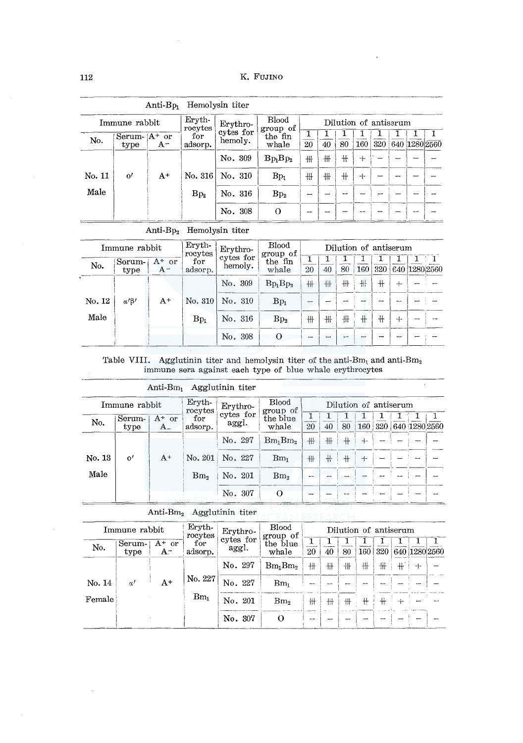|        |                         | $Anti-Bp1$ |                          | Hemolysin titer      |                          |    |    |     |                       |                |  |               |
|--------|-------------------------|------------|--------------------------|----------------------|--------------------------|----|----|-----|-----------------------|----------------|--|---------------|
|        | Immune rabbit           |            | ${\rm Eryth}$<br>rocytes | Erythro-             | <b>Blood</b><br>group of |    |    |     | Dilution of antiserum |                |  |               |
| No.    | Serum- $A^+$ or<br>type | $A^-$      | for<br>adsorp.           | cytes for<br>hemoly. | the fin<br>whale         | 20 | 40 | 80  | 160                   | 320            |  | 640 1280 2560 |
|        |                         |            |                          | No. 309              | $Bp_1Bp_2$               | #  | ╫  | ╫   | $+$                   |                |  |               |
| No. 11 | $\Omega'$               | $A^+$      | No. $316$                | No. 310              | $Bp_1$                   | 卅  | ₩  | $+$ | $+$                   |                |  |               |
| Male   |                         |            | $Bp_2$                   | No. 316              | Bp <sub>2</sub>          | -  |    | --  |                       | $\overline{ }$ |  |               |
|        |                         |            |                          | No. 308              | $\Omega$                 |    |    |     |                       |                |  |               |

#### Anti-Bp<sub>2</sub> Hemolysin titer

|        | Immune rabbit  |                     | Eryth-<br>rocytes  | Erythro-             | Blood<br>group of |                          |    |     | Dilution of antiserum |     |        |               |
|--------|----------------|---------------------|--------------------|----------------------|-------------------|--------------------------|----|-----|-----------------------|-----|--------|---------------|
| No.    | Sorum-<br>type | $A^+$ or<br>$A^{-}$ | for<br>adsorp.     | cytes for<br>hemoly. | the fin<br>whale  | 20                       | 40 | 80  | 160                   | 320 |        | 640 1280 2560 |
|        |                |                     |                    | No. 309              | $Bp_1Bp_2$        | +H                       | 卄  | 卌   | 卌                     | ╫   | $+$    |               |
| No. 12 | $\alpha$ 'B'   | $A^+$               | $\mathrm{No.} 310$ | No. 310              | $Bp_1$            |                          |    |     |                       |     |        |               |
| Male   |                |                     | $Bp_1$             | No. 316              | Bp <sub>2</sub>   | ₩                        | 卌  | 卅   | ╫                     | ╫   | $^{+}$ |               |
|        |                |                     |                    | No. 308              | $\Omega$          | $\overline{\phantom{a}}$ |    | مسر | -                     |     |        |               |

# Table VIII. Agglutinin titer and hemolysin titer of the anti-Bm, and anti-Bm, immune sera against each type of blue whale erythrocytes

|        |                | Anti-Bm             |                   | Agglutinin titer   |                          |    |     |     |                       |     |               |  |
|--------|----------------|---------------------|-------------------|--------------------|--------------------------|----|-----|-----|-----------------------|-----|---------------|--|
|        | Immune rabbit  |                     | Eryth-<br>rocytes | Erythro-           | <b>Blood</b><br>group of |    |     |     | Dilution of antiserum |     |               |  |
| No.    | Serum-<br>type | $A^+$ or<br>$A_{-}$ | for<br>adsorp.    | cytes for<br>aggl. | the blue<br>whale        | 20 | 40  | 80  | 160                   | 320 | 640 1280 2560 |  |
|        |                |                     |                   | No. 297            | $Bm_1Bm_2$               | #  | ╫   | $+$ | $+$                   |     |               |  |
| No. 13 | $\mathbf{o}'$  | $A^+$               | No. 201           | No. 227            | $Bm_1$                   | ₩  | $+$ | $+$ | $+$                   |     |               |  |
| Male   |                |                     | Bm <sub>2</sub>   | No. 201            | Bm <sub>2</sub>          |    |     |     |                       |     |               |  |
|        |                |                     |                   | No. 307            | $\Omega$                 |    |     |     |                       |     |               |  |

Anti-Bm2 Agglutinin titer

|        | Immune rabbit  |                | Eryth-<br>rocytes | Erythro-           | <b>Blood</b><br>group of |    |     |    |     | Dilution of antiserum |               |  |
|--------|----------------|----------------|-------------------|--------------------|--------------------------|----|-----|----|-----|-----------------------|---------------|--|
| No.    | Serum-<br>type | $A^+$ or<br>A- | for<br>adsorp.    | cytes for<br>aggl. | the blue<br>whale        | 20 | 40  | 80 | 160 | 320                   | 640 1280 2560 |  |
|        |                |                |                   | No. 297            | $Bm_1Bm_2$               | 卅  | ╫   | ╫  | ₩   | ₩                     | ┿             |  |
| No. 14 | $\alpha'$      | $A^+$          | No. 227           | No. 227            | $Bm_1$                   |    |     |    |     |                       |               |  |
| Female |                |                | $Bm_1$            | No. 201            | Bm <sub>2</sub>          | ₩  | 扭   | ╫  | ╫   |                       |               |  |
|        |                |                |                   | No. 307            | $\Omega$                 |    | . . |    |     |                       |               |  |

 $\mathbf{r}$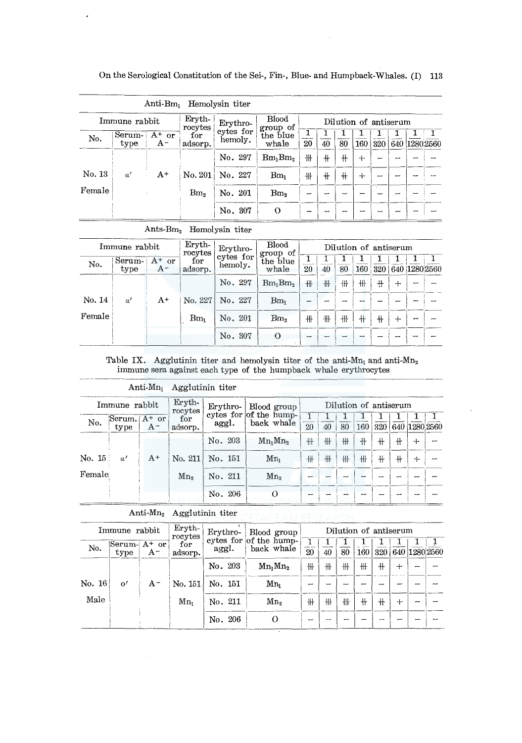On the Serological Constitution of the Sei-, Fin-, Blue- and Humpback-Whales. (I) 113

|        |                |                          |                                   | Anti-Bm <sub>1</sub> Hemolysin titer |                       |    |     |     |        |     |  |               |
|--------|----------------|--------------------------|-----------------------------------|--------------------------------------|-----------------------|----|-----|-----|--------|-----|--|---------------|
|        | Immune rabbit  | <b>Blood</b><br>group of |                                   |                                      | Dilution of antiserum |    |     |     |        |     |  |               |
| No.    | Serum-<br>type | $A^+$ or<br>$A^-$        | rocytes<br>${\rm for}$<br>adsorp. | cytes for<br>hemoly.                 | the blue<br>whale     | 20 | 40  | 80  | 160    | 320 |  | 640 1280 2560 |
|        |                |                          |                                   | No. 297                              | $Bm_1Bm_2$            | 卝  | $+$ | $+$ | $+$    |     |  |               |
| No. 13 | $\alpha'$      | $A^+$                    | $\mathrm{No.}\,201$               | No. 227                              | Bm <sub>1</sub>       | ₩  | $+$ | $+$ | $\div$ |     |  |               |
| Female |                |                          | Bm <sub>2</sub>                   | No. 201                              | Bm <sub>2</sub>       |    |     |     |        | --  |  |               |
|        |                |                          |                                   | No. 307                              | $\Omega$              |    |     |     |        |     |  |               |

Ants- $Bm<sub>2</sub>$  Hemolysin titer

|        | Immune rabbit  |                   | Eryth-<br>rocytes | Erythro-             | <b>Blood</b><br>group of |        |    |    | Dilution of antiserum |     |        |               |
|--------|----------------|-------------------|-------------------|----------------------|--------------------------|--------|----|----|-----------------------|-----|--------|---------------|
| No.    | Serum-<br>type | $A^+$ or<br>$A^-$ | for<br>adsorp.    | cytes for<br>hemoly. | the blue<br>whale        | 20     | 40 | 80 | 160                   | 320 |        | 640 1280 2560 |
|        |                |                   |                   | No. 297              | $Bm_1Bm_2$               | ╫      | 卅  | 卌  | ₩                     | 4   | $+$    |               |
| No. 14 | $\alpha'$      | $A^+$             | No. 227           | No. 227              | $Bm_1$                   |        |    |    |                       |     |        |               |
| Female |                |                   | $Bm_1$            | No. 201              | Bm <sub>2</sub>          | ╫      | ╫  | ╫  | ╫                     | ╫   | $\div$ |               |
|        |                |                   |                   | No. 307              | $\Omega$                 | $\sim$ |    |    | --                    |     |        |               |

Table IX. Agglutinin titer and hemolysin titer of the anti-Mn<sub>1</sub> and anti-Mn<sub>2</sub> immune sera against each type of the humpback whale erythrocytes

| $\text{Anti-Mn}_1$ | Agglutinin titer |  |
|--------------------|------------------|--|
|--------------------|------------------|--|

|        |                                  | Eryth-<br>Immune rabbit<br>rocytes |                    | Blood group<br>${\rm Ervthro}$ - |                                      | Dilution of antiserum |    |    |     |     |     |                   |  |
|--------|----------------------------------|------------------------------------|--------------------|----------------------------------|--------------------------------------|-----------------------|----|----|-----|-----|-----|-------------------|--|
| No.    | $\text{Serum.}$ $A^+$ or<br>type | $A^-$                              | for<br>adsorp.     | aggl.                            | cytes for of the hump-<br>back whale | $\frac{1}{20}$        | 40 | 80 | 160 |     |     | 320 640 1280 2560 |  |
|        |                                  |                                    |                    | No. 203                          | $Mn_1Mn_2$                           | 卝                     | ╫  | #  | ╫   | $+$ | $+$ | $+$               |  |
| No. 15 | $\alpha'$                        | $A^+$                              | $\mathrm{No.} 211$ | No. 151                          | $Mn_1$                               | ₩.                    | ╫  | 卝  | ╫   | ╫   | ╫   | ┿                 |  |
| Female |                                  |                                    | Mn <sub>2</sub>    | No. 211                          | Mn <sub>2</sub>                      |                       |    |    |     | --  |     | -                 |  |
|        |                                  |                                    |                    | No. 206                          | $\theta$                             |                       |    |    |     |     |     |                   |  |

Anti-Mn<sub>2</sub> Agglutinin titer **FILACEAN RESEARCH** 

|                   | Immune rabbit                 |       | Eryth-<br>rocytes  | Erythro-<br>Blood group |                                      | Dilution of antiserum |    |    |     |     |      |               |  |
|-------------------|-------------------------------|-------|--------------------|-------------------------|--------------------------------------|-----------------------|----|----|-----|-----|------|---------------|--|
| No.               | $\text{Serum-}A^+$ or<br>type | $A^-$ | for<br>adsorp.     | aggl.                   | cytes for of the hump-<br>back whale | 20                    | 40 | 80 | 160 | 320 |      | 640 1280 2560 |  |
|                   |                               |       |                    | No. 203                 | $Mn_1Mn_2$                           | ╫                     | 卄  | 卌  | ₩   | ╫   | $^+$ |               |  |
| $\mathrm{No.} 16$ | $^{\rm o}$                    | $A^-$ | $\mathrm{No.} 151$ | No. 151                 | Mn.                                  |                       |    |    |     |     |      |               |  |
| Male              |                               |       | Mn.                | No. 211                 | Mn.                                  | ₩                     | ₩  | ₩  | 卄   | ╫   | ⊣⊷   |               |  |
|                   |                               |       |                    | No. 206                 | O                                    | --                    | -- |    |     | ⊷   |      |               |  |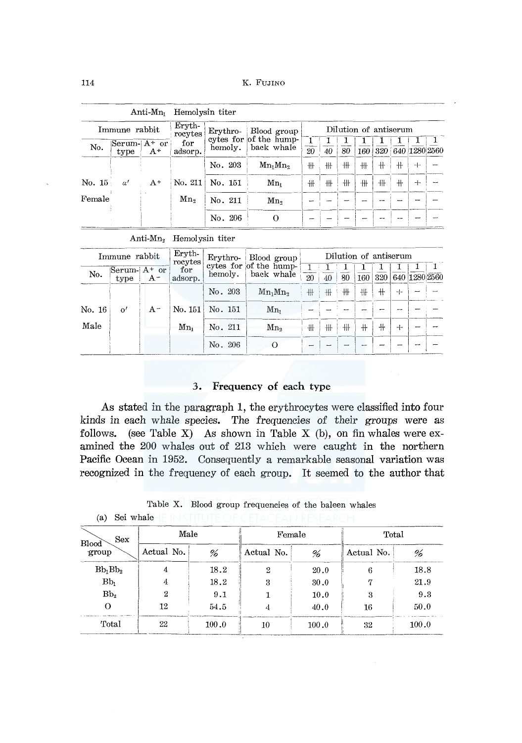|                   |                       | $\rm Anti\text{-}Mn_{1}$ | Hemolysin titer   |            |                                                     |                       |    |    |                  |     |   |   |                   |
|-------------------|-----------------------|--------------------------|-------------------|------------|-----------------------------------------------------|-----------------------|----|----|------------------|-----|---|---|-------------------|
|                   | Immune rabbit         |                          | Eryth-<br>rocytes | $Erythro-$ | Blood group<br>cytes for of the hump-<br>back whale | Dilution of antiserum |    |    |                  |     |   |   |                   |
| No.               | Serum-  A+ or<br>type | $A^+$                    | for<br>adsorp.    | hemoly.    |                                                     | $\overline{20}$       | 40 | 80 | 160 <sub>1</sub> |     |   |   | 320 640 1280 2560 |
|                   |                       |                          |                   | No. 203    | $Mn_1Mn_2$                                          | ₩                     | ╫  | ╫  | ₩                | $+$ | ╫ | ┿ |                   |
| $\mathrm{No.}~15$ | $\alpha'$             | $A^+$                    | No. 211           | No. 151    | $Mn_i$                                              | 卅                     | ₩  | ╫  | #                | ╫   | ╫ | ┿ |                   |
| Female            |                       |                          | Mn,               | No. 211    | Mn,                                                 |                       |    |    |                  |     |   |   |                   |
|                   |                       |                          |                   | No. 206    | $\Omega$                                            |                       |    |    |                  |     |   |   |                   |

Anti-Mn<sub>2</sub> Hemolysin titer

|        | Immune rabbit           |         | Eryth-<br>rocytes   |         | Erythro- Blood group                 |                 |    |    |      | Dilution of antiserum |     |               |
|--------|-------------------------|---------|---------------------|---------|--------------------------------------|-----------------|----|----|------|-----------------------|-----|---------------|
| No.    | Serum- $A^+$ or<br>type | $A^-$   | for<br>adsorp.      | hemoly. | cytes for of the hump-<br>back whale | $\overline{20}$ | 40 | 80 | 160  | 320                   |     | 640 1280 2560 |
|        |                         |         |                     | No. 203 | $Mn_1Mn_2$                           | ╫╫              | ₩  | ╫  | ╫    | $+$                   | $+$ |               |
| No. 16 | $\mathbf{o}'$           | $A^{-}$ | $\mathrm{No.}\,151$ | No. 151 | $Mn_i$                               |                 |    |    |      |                       |     |               |
| Male   |                         |         | $Mn_1$              | No. 211 | Mn <sub>2</sub>                      | ╫               | ╫  | ╫  | $^+$ | $+$                   | ┿   |               |
|        |                         |         |                     | No. 206 |                                      |                 |    |    |      |                       |     |               |

#### 3. Frequency of each type

As stated in the paragraph 1, the erythrocytes were classified into four kinds in each whale species. The frequencies of their groups were as follows. (see Table X) As shown in Table X (b), on fin whales were examined the 200 whales out of 213 which were caught in the northern Pacific Ocean in 1952. Consequently a remarkable seasonal variation was recognized in the frequency of each group. It seemed to the author that

| Table X. Blood group frequencies of the baleen whales |  |  |  |  |  |  |
|-------------------------------------------------------|--|--|--|--|--|--|
|-------------------------------------------------------|--|--|--|--|--|--|

(a) Sei whale IF IN STITUTE OF CETACEAN RESEARCH

| <b>Sex</b><br>Blood | Male       |       | Female     |       | Total      |       |  |
|---------------------|------------|-------|------------|-------|------------|-------|--|
| group               | Actual No. | %     | Actual No. | %     | Actual No. | %     |  |
| $Bb_1Bb_2$          | 4          | 18.2  | 2          | 20.0  | 6          | 18.8  |  |
| $Bb_1$              | 4          | 18.2  | 3          | 30.0  |            | 21.9  |  |
| Bb <sub>3</sub>     | 2          | 9.1   |            | 10.0  | 3          | 9.3   |  |
|                     | 12         | 54.5  | 4          | 40.0  | 16         | 50.0  |  |
| Total               | 22         | 100.0 | $10\,$     | 100.0 | 32         | 100.0 |  |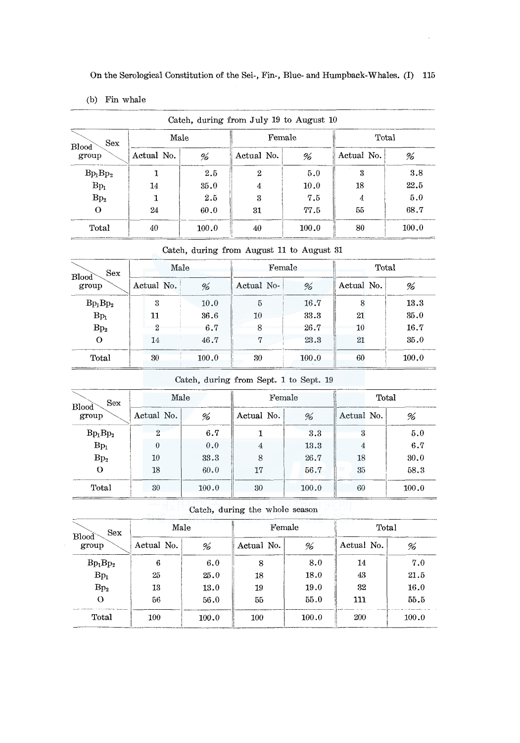(b) Fin whale

| Sex                   | Male       |       | Female           |       | Catch, during from July 19 to August 10<br>Total |       |  |
|-----------------------|------------|-------|------------------|-------|--------------------------------------------------|-------|--|
| <b>Blood</b><br>group | Actual No. | %     | Actual No.       | %     | Actual No.                                       | %     |  |
| $Bp_1Bp_2$            |            | 2.5   | $\boldsymbol{2}$ | 5.0   | 3                                                | 3.8   |  |
| $Bp_1$                | 14         | 35.0  | 4                | 10.0  | 18                                               | 22.5  |  |
| Bp <sub>2</sub>       |            | 2.5   | 3                | 7.5   | 4                                                | 5.0   |  |
| $\Omega$              | 24         | 60.0  | 31               | 77.5  | 55                                               | 68.7  |  |
| Total                 | 40         | 100.0 | 40               | 100.0 | 80                                               | 100.0 |  |

#### Catch, during from August 11 to August 31

| Sex<br><b>Blood</b><br>group | Male          |       | Female     |       | Total      |       |  |
|------------------------------|---------------|-------|------------|-------|------------|-------|--|
|                              | Actual No.    | %     | Actual No- | %     | Actual No. | %     |  |
| $Bp_1Bp_2$                   | 3             | 10.0  | 5          | 16.7  |            | 13.3  |  |
| $Bp_1$                       | 11            | 36.6  | 10         | 33.3  | 21         | 35.0  |  |
| Bp <sub>2</sub>              | $\mathcal{D}$ | 6.7   | 8          | 26.7  | 10         | 16.7  |  |
|                              | 14            | 46.7  | 17         | 23.3  | 21         | 35.0  |  |
| Total                        | 30            | 100.0 | 30         | 100.0 | 60         | 100.0 |  |

Catch, during from Sept. 1 to Sept. 19

| <b>Sex</b><br><b>Blood</b> | Male         |  |       |            | Female |                            |  | Total |  |  |  |
|----------------------------|--------------|--|-------|------------|--------|----------------------------|--|-------|--|--|--|
| group                      | Actual No.   |  | %     | Actual No. | %      | Actual No.                 |  | %     |  |  |  |
| $Bp_1Bp_2$                 | $\mathbf{2}$ |  | 6.7   |            | 3.3    | $\boldsymbol{\mathcal{B}}$ |  | 5.0   |  |  |  |
| $Bp_1$                     | 0            |  | 0.0   | 4          | 13.3   | 4                          |  | 6.7   |  |  |  |
| Bp <sub>2</sub>            | 10           |  | 33.3  | 8          | 26.7   | 18                         |  | 30.0  |  |  |  |
| О                          | 18           |  | 60.0  | 17         | 56.7   | 35                         |  | 58.3  |  |  |  |
| Total                      | 30           |  | 100.0 | 30         | 100.0  | 60                         |  | 100.0 |  |  |  |

Catch, during the whole season

| <b>Sex</b><br><b>Blood</b> | Male       |       | Female     |       | Total      |       |  |  |
|----------------------------|------------|-------|------------|-------|------------|-------|--|--|
| group                      | Actual No. | %     | Actual No. | %     | Actual No. | %     |  |  |
| $Bp_1Bp_2$                 | 6          | 6.0   | 8          | 8.0   | 14         | 7.0   |  |  |
| $Bp_1$                     | 25         | 25.0  | 18         | 18.0  | 43         | 21.5  |  |  |
| Bp <sub>2</sub>            | 13         | 13.0  | 19         | 19.0  | 32         | 16.0  |  |  |
| $\Omega$                   | 56         | 56.0  | 55         | 55.0  | 111        | 55.5  |  |  |
| Total                      | $100\,$    | 100.0 | 100        | 100.0 | 200        | 100.0 |  |  |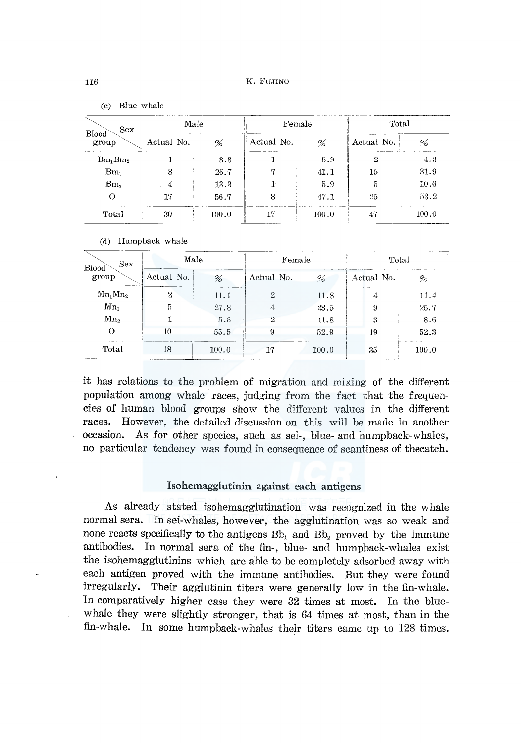| Sex<br>Blood<br>group | Male       |       | Female     |       | Total      |       |  |
|-----------------------|------------|-------|------------|-------|------------|-------|--|
|                       | Actual No. | %     | Actual No. | %     | Actual No. | %     |  |
| $Bm_1Bm_2$            |            | 3.3   |            | 5.9   | 2          | 4.3   |  |
| $Bm_1$                | 8          | 26.7  | 17         | 41.1  | 15         | 31.9  |  |
| Bm <sub>2</sub>       | 4          | 13.3  |            | 5.9   | 5          | 10.6  |  |
|                       | 17         | 56.7  | 8          | 47.1  | 25         | 53.2  |  |
| Total                 | 30         | 100.0 | 17         | 100.0 | 47         | 100.0 |  |

 $(c)$  Blue whale

#### (d) Humpback whale

| <b>Sex</b><br>Blood |            | Male  | Female         |       | Total      |       |  |  |
|---------------------|------------|-------|----------------|-------|------------|-------|--|--|
| group               | Actual No. | %     | Actual No.     | %     | Actual No. | %     |  |  |
| $Mn_1Mn_2$          | 2          | 11.1  | $\overline{2}$ | 11.8  | 4          | 11.4  |  |  |
| $Mn_1$              | 5          | 27.8  | 4              | 23.5  | 9          | 25.7  |  |  |
| Mn <sub>2</sub>     |            | 5.6   | 2              | 11.8  | 3          | 8.6   |  |  |
|                     | 10         | 55.5  | 9              | 52.9  | 19         | 52.3  |  |  |
| Total               | 18         | 100.0 | 17             | 100.0 | 35         | 100.0 |  |  |

it has relations to the problem of migration and mixing of the different population among whale races, judging from the fact that the frequencies of human blood groups show the different values in the different races. However, the detailed discussion on this will be made in another occasion. As for other species, such as sei-, blue- and humpback-whales, no particular tendency was found in consequence of scantiness of the catch.

#### Isohemagglutinin against each antigens

As already stated isohemagglutination was recognized in the whale normal sera. In sei-whales, however, the agglutination was so weak and none reacts specifically to the antigens Bb, and Bb, proved by the immune antibodies. In normal sera of the fin-, blue- and humpback-whales exist the isohemagglutining which are able to be completely adsorbed away with each antigen proved with the immune antibodies. But they were found irregularly. Their agglutinin titers were generally low in the fin-whale. In comparatively higher case they were 32 times at most. In the bluewhale they were slightly stronger, that is 64 times at most, than in the fin-whale. In some humpback-whales their titers came up to 128 times.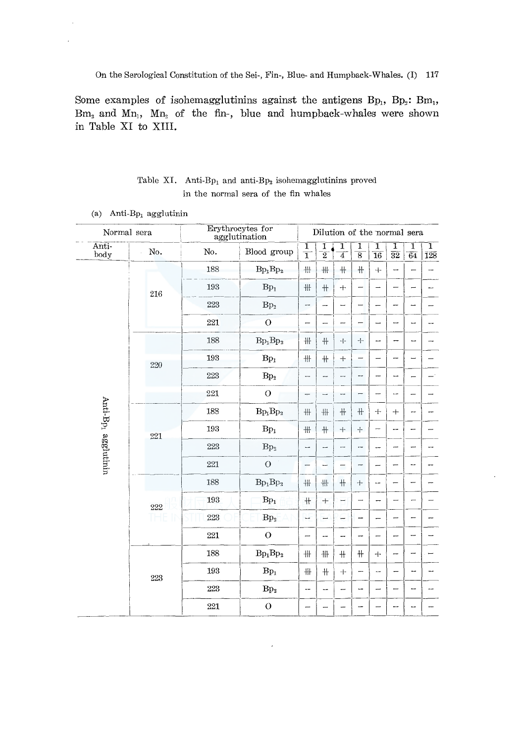On the Serological Constitution of the Sei-, Fin-, Blue- and Humpback-Whales. (I) 117

Some examples of isohemagglutining against the antigens  $Bp_1$ ,  $Bp_2$ :  $Bm_1$ ,  $Bm_2$  and  $Mn_1$ ,  $Mn_2$  of the fin-, blue and humpback-whales were shown in Table XI to XIII.

### Table XI. Anti-Bp<sub>1</sub> and anti-Bp<sub>2</sub> isohemagglutinins proved in the normal sera of the fin whales

|                                 | Normal sera |     | Erythrocytes for<br>agglutination |                          | Dilution of the normal sera |                          |                          |                                   |                          |                          |                                       |
|---------------------------------|-------------|-----|-----------------------------------|--------------------------|-----------------------------|--------------------------|--------------------------|-----------------------------------|--------------------------|--------------------------|---------------------------------------|
| Anti-<br>body                   | No.         | No. | Blood group                       | $\frac{1}{1}$            | $\frac{1}{2}$               | ï<br>$\overline{4}$      | $\frac{1}{8}$            | $\overline{1}$<br>$\overline{16}$ | 1<br>$\overline{32}$     | 1<br>$\overline{64}$     | $\overline{\mathrm{1}}$<br><b>128</b> |
|                                 |             | 188 | $Bp_1Bp_2$                        | 冊                        | 卅                           | $+$                      | ₩                        | $\!+\!$                           | --                       |                          | me.                                   |
|                                 | 216         | 193 | $\mathrm{Bp}_1$                   | $\mathop{\#}$            | $+$                         | $+$                      | $\overline{\phantom{0}}$ | $\overline{\phantom{0}}$          |                          | -                        |                                       |
|                                 |             | 223 | Bp <sub>2</sub>                   | --                       |                             |                          | -                        |                                   | -                        | -                        |                                       |
|                                 |             | 221 | $\overline{O}$                    | -                        | ---                         | --                       |                          | $\overline{\phantom{0}}$          | -                        | --                       |                                       |
|                                 | 220         | 188 | $Bp_1Bp_2$                        | 卄                        | ╫                           | ÷                        | $+$                      | μ.,                               | --                       | --                       |                                       |
|                                 |             | 193 | $Bp_1$                            | 卄                        | $+$                         | $+$                      | -                        | -                                 | -                        | $\overline{\phantom{0}}$ |                                       |
|                                 |             | 223 | Bp <sub>2</sub>                   | -                        | --                          | ÷.                       | --                       | -                                 | --                       | Ē                        |                                       |
|                                 |             | 221 | $\overline{O}$                    | $\overline{\phantom{0}}$ |                             |                          | -                        | $\overline{\phantom{0}}$          | --                       | —                        |                                       |
| Anti-Bp <sub>1</sub> agglutinin | 221         | 188 | $Bp_1Bp_2$                        | 卅                        | 卄                           | $\#$                     | $+$                      | $+$                               | $\!+\!$                  | --                       |                                       |
|                                 |             | 193 | $Bp_1$                            | 卄                        | $+$                         | $+$                      | $+$                      | $\overline{\phantom{0}}$          | --                       | --                       |                                       |
|                                 |             | 223 | Bp <sub>2</sub>                   | -                        | --                          |                          | --                       | --                                | <b></b>                  |                          |                                       |
|                                 |             | 221 | $\circ$                           |                          | --                          | $\overline{\phantom{0}}$ | -                        | -                                 | —                        | --                       |                                       |
|                                 |             | 188 | $Bp_1Bp_2$                        | 卅                        | 卌                           | $\!+\!$                  | $+$                      | -                                 |                          | -                        |                                       |
|                                 | 222         | 193 | $Bp_1$                            | $+$                      | $+$                         | H                        |                          | -                                 | ∸                        | -                        |                                       |
|                                 | Ħ<br>THE    | 223 | Bp <sub>2</sub>                   | ÷                        | -                           | -                        | --                       | $\overline{\phantom{0}}$          | $\overline{\phantom{0}}$ | -                        |                                       |
|                                 |             | 221 | $\overline{O}$                    | —                        | --                          |                          | --                       |                                   | -                        | -                        |                                       |
|                                 |             | 188 | $Bp_1Bp_2$                        | 卌                        | ₩                           | $+$                      | $\#$                     | $+$                               | -                        | ⊸                        |                                       |
|                                 | 223         | 193 | $Bp_1$                            | #                        | $\!+\!$                     | $+$                      | -                        | --                                | --                       | --                       | --                                    |
|                                 |             | 223 | Bp <sub>2</sub>                   | --                       | --                          | -                        | --                       |                                   |                          |                          |                                       |
|                                 |             | 221 | $\mathcal{O}$                     | —                        |                             |                          | -                        |                                   | --                       | --                       |                                       |

(a) Anti-B $p_1$  agglutinin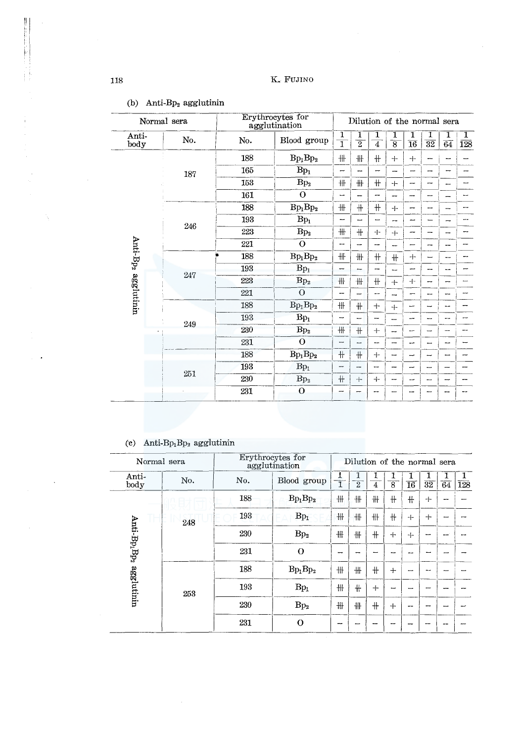# 118 K.. FUJINO

|                     | Normal sera |     | Erythrocytes for<br>agglutination | Dilution of the normal sera |                |                                                                                                                                                                                                                                                                                                                                                                                                                                                                                                                                                                                                                                                  |                     |                          |                          |    |                       |  |  |  |
|---------------------|-------------|-----|-----------------------------------|-----------------------------|----------------|--------------------------------------------------------------------------------------------------------------------------------------------------------------------------------------------------------------------------------------------------------------------------------------------------------------------------------------------------------------------------------------------------------------------------------------------------------------------------------------------------------------------------------------------------------------------------------------------------------------------------------------------------|---------------------|--------------------------|--------------------------|----|-----------------------|--|--|--|
| Anti-<br>body       | No.         | No. | Blood group                       | 1<br>$\overline{1}$         | $\overline{2}$ | $\overline{4}$                                                                                                                                                                                                                                                                                                                                                                                                                                                                                                                                                                                                                                   | 1<br>$\overline{8}$ | 1<br>$\overline{16}$     | $\overline{32}$          | 64 | ı<br>$\overline{128}$ |  |  |  |
|                     |             | 188 | $Bp_1Bp_2$                        | ₩                           | ╫              | $\textcolor{red}{\textcolor{blue}{\textcolor{blue}{\textcolor{blue}{\textcolor{blue}{\textcolor{blue}{\textcolor{blue}{\textcolor{blue}{\textcolor{blue}{\textcolor{blue}{\textcolor{blue}{\textcolor{blue}{\textcolor{blue}{\textcolor{blue}{\textcolor{blue}{\textcolor{blue}{\textcolor{blue}{\textcolor{blue}{\textcolor{blue}{\textcolor{blue}{\textcolor{blue}{\textcolor{blue}{\textcolor{blue}{\textcolor{blue}{\textcolor{blue}{\textcolor{blue}{\textcolor{blue}{\textcolor{blue}{\textcolor{blue}{\textcolor{blue}{\textcolor{blue}{\textcolor{blue}{\textcolor{blue}{\textcolor{blue}{\textcolor{blue}{\textcolor{blue}{\textcolor{$ | $+$                 | $+$                      | ∽                        |    |                       |  |  |  |
|                     | 187         | 165 | $Bp_1$                            | -                           |                | -                                                                                                                                                                                                                                                                                                                                                                                                                                                                                                                                                                                                                                                | ---                 | $\overline{\phantom{0}}$ | -                        | -  |                       |  |  |  |
|                     |             | 153 | Bp <sub>2</sub>                   | 卄                           | ╫              | $^{\rm +}$                                                                                                                                                                                                                                                                                                                                                                                                                                                                                                                                                                                                                                       | 4                   | $\overline{\phantom{0}}$ | --                       |    |                       |  |  |  |
|                     |             | 161 | $\mathbf{o}$                      | --                          |                | --                                                                                                                                                                                                                                                                                                                                                                                                                                                                                                                                                                                                                                               | --                  | --                       | ---                      |    |                       |  |  |  |
|                     |             | 188 | $Bp_1Bp_2$                        | ₩                           | $+$            | $\pm$                                                                                                                                                                                                                                                                                                                                                                                                                                                                                                                                                                                                                                            | $+$                 | --                       | --                       |    |                       |  |  |  |
|                     | 246         | 193 | $Bp_1$                            | —                           |                | -                                                                                                                                                                                                                                                                                                                                                                                                                                                                                                                                                                                                                                                | --                  | -                        |                          |    |                       |  |  |  |
|                     |             | 223 | Bp <sub>2</sub>                   | ₩                           | $+$            | $+$                                                                                                                                                                                                                                                                                                                                                                                                                                                                                                                                                                                                                                              | $+$                 | -                        | --                       | -  |                       |  |  |  |
|                     |             | 221 | $\Omega$                          | --                          | -              | -                                                                                                                                                                                                                                                                                                                                                                                                                                                                                                                                                                                                                                                | -                   | -                        | --                       | -- |                       |  |  |  |
| Anti-Bp2 agglutinin | 247         | 188 | $Bp_1Bp_2$                        | ₩                           | ╫              | $+$                                                                                                                                                                                                                                                                                                                                                                                                                                                                                                                                                                                                                                              | $+$                 | 十                        | —                        | -- |                       |  |  |  |
|                     |             | 193 | $Bp_1$                            | -                           | -              | -                                                                                                                                                                                                                                                                                                                                                                                                                                                                                                                                                                                                                                                | --                  | --                       | ÷                        | -- |                       |  |  |  |
|                     |             | 223 | Bp <sub>2</sub>                   | ╫                           | #              | $\#$                                                                                                                                                                                                                                                                                                                                                                                                                                                                                                                                                                                                                                             | $+$                 | $+$                      | --                       |    |                       |  |  |  |
|                     |             | 221 | $\overline{O}$                    | --                          | -              | ---                                                                                                                                                                                                                                                                                                                                                                                                                                                                                                                                                                                                                                              | ∾                   | ⊷                        | --                       |    |                       |  |  |  |
|                     |             | 188 | $Bp_1Bp_2$                        | 卌                           | $+$            | $+$                                                                                                                                                                                                                                                                                                                                                                                                                                                                                                                                                                                                                                              | $+$                 | --                       | ⊸                        |    |                       |  |  |  |
|                     | 249         | 193 | $Bp_1$                            | ⊷                           | ÷              | -                                                                                                                                                                                                                                                                                                                                                                                                                                                                                                                                                                                                                                                | −                   | --                       | --                       |    |                       |  |  |  |
|                     |             | 230 | $\mathrm{Bp}_2$                   | ₩                           | $+$            | $+$                                                                                                                                                                                                                                                                                                                                                                                                                                                                                                                                                                                                                                              | --                  | --                       | -                        |    |                       |  |  |  |
|                     |             | 231 | $\Omega$                          | $\overline{\phantom{0}}$    | ш.             | me.                                                                                                                                                                                                                                                                                                                                                                                                                                                                                                                                                                                                                                              | -                   | مب                       | ÷                        | -- |                       |  |  |  |
|                     |             | 188 | $Bp_1Bp_2$                        | $\pm$                       | $+$            | $\div$                                                                                                                                                                                                                                                                                                                                                                                                                                                                                                                                                                                                                                           | -                   | $\overline{\phantom{0}}$ | $\overline{\phantom{0}}$ | -  |                       |  |  |  |
|                     |             | 193 | $Bp_1$                            | --                          | --             | --                                                                                                                                                                                                                                                                                                                                                                                                                                                                                                                                                                                                                                               | ---                 |                          |                          |    |                       |  |  |  |
|                     | 251         | 230 | $\rm Bp_2$                        | $+$                         | $+$            | $+$                                                                                                                                                                                                                                                                                                                                                                                                                                                                                                                                                                                                                                              | ↽                   | --                       | --                       |    |                       |  |  |  |
|                     |             | 231 | $\mathbf{o}$                      |                             |                | --                                                                                                                                                                                                                                                                                                                                                                                                                                                                                                                                                                                                                                               |                     |                          |                          |    |                       |  |  |  |

### (b) Anti-B $p_2$  agglutinin

# (c) Anti-B $p_1$ B $p_2$  agglutinin

|                                | Normal sera | Erythrocytes for<br>agglutination |                  | Dilution of the normal sera |                |                |                |                 |                 |                 |     |  |  |
|--------------------------------|-------------|-----------------------------------|------------------|-----------------------------|----------------|----------------|----------------|-----------------|-----------------|-----------------|-----|--|--|
| Anti-<br>body                  | No.         | No.                               | Blood group<br>1 |                             | $\overline{2}$ | $\overline{4}$ | $\overline{8}$ | $\overline{16}$ | $\overline{32}$ | $\overline{64}$ | 128 |  |  |
|                                |             | 188                               | $Bp_1Bp_2$       | 卌                           | ₩              | ₩              | ╫              | $+$             | $+$             |                 |     |  |  |
|                                | 248         | 193                               | $Bp_1$           | ╫                           | 卌              | 卅              | #              | $+$             | $+$             |                 |     |  |  |
| $\text{Anti-Bp}_1 \text{Bp}_2$ |             | 230                               | Bp <sub>2</sub>  | 卄                           | 卝              | $+$            | $+$            | 4               |                 |                 |     |  |  |
|                                |             | 231                               | $\Omega$         |                             |                |                |                |                 |                 |                 |     |  |  |
|                                |             | 188                               | $Bp_1Bp_2$       | ₩                           | ₩              | $+$            | $^{+}$         |                 |                 |                 |     |  |  |
| agglutinin                     | 253         | 193                               | $Bp_1$           | ╫                           | $+$            | $+$            | -              |                 |                 |                 |     |  |  |
|                                |             | 230                               | Bp <sub>2</sub>  | ₩                           | 卌              | #              | $+$            |                 |                 |                 |     |  |  |
|                                |             | 231                               | $\Omega$         |                             |                |                |                |                 |                 |                 |     |  |  |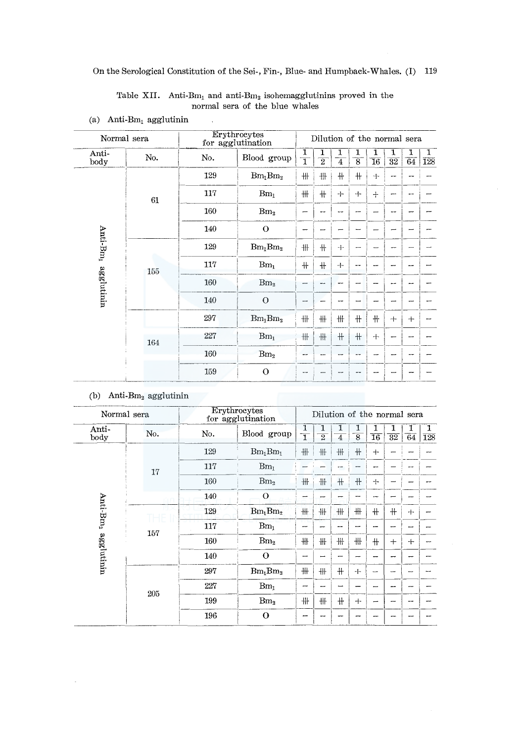Table XII. Anti-Bm<sub>1</sub> and anti-Bm<sub>2</sub> isohemagglutinins proved in the normal sera of the blue whales

 $\overline{a}$ 

|                      | Normal sera |     | Erythrocytes<br>for agglutination | Dilution of the normal sera |                |                     |                     |                           |                      |         |          |  |  |  |
|----------------------|-------------|-----|-----------------------------------|-----------------------------|----------------|---------------------|---------------------|---------------------------|----------------------|---------|----------|--|--|--|
| Anti-<br>body        | No.         | No. | Blood group                       | 1<br>$\overline{1}$         | $\overline{2}$ | 1<br>$\overline{4}$ | 1<br>$\overline{8}$ | 1<br>$\overline{16}$      | 1<br>$\overline{32}$ | 1<br>64 | 1<br>128 |  |  |  |
|                      |             | 129 | $Bm_1Bm_2$                        | $\frac{111}{111}$           | ₩              | #                   | $+$                 | $+$                       |                      |         |          |  |  |  |
|                      | 61          | 117 | $Bm_1$                            | $\mathop{\#}\nolimits$      | $+$            | $+$                 | 4                   | $+$                       |                      |         |          |  |  |  |
|                      |             | 160 | Bm <sub>2</sub>                   |                             |                |                     | --                  |                           |                      |         |          |  |  |  |
|                      |             | 140 | $\mathbf O$                       |                             |                |                     |                     |                           |                      |         |          |  |  |  |
| Anti-Bm <sub>1</sub> |             | 129 | $Bm_1Bm_2$                        | 卌                           | ╫              | $+$                 | ⊷                   |                           |                      |         |          |  |  |  |
|                      | 155         | 117 | $Bm_1$                            | $\#$                        | $+$            | $+$                 | --                  |                           |                      |         |          |  |  |  |
| agglutinin           |             | 160 | Bm <sub>2</sub>                   | -                           |                |                     |                     |                           |                      |         |          |  |  |  |
|                      |             | 140 | $\Omega$                          | -                           |                |                     |                     |                           |                      |         |          |  |  |  |
|                      |             | 297 | $Bm_1Bm_2$                        | 卄                           | 卄              | ₩                   | #                   | $\boldsymbol{\mathsf{+}}$ | $+$                  | $+$     |          |  |  |  |
|                      | 164         | 227 | Bm <sub>1</sub>                   | $\mathop{\#}$               | 卅              | $+$                 | $+$                 | $+$                       |                      |         |          |  |  |  |
|                      |             | 160 | Bm <sub>2</sub>                   | mar.                        |                |                     | --                  |                           |                      |         |          |  |  |  |
|                      |             | 159 | $\Omega$                          |                             |                |                     |                     |                           |                      |         |          |  |  |  |

(a) Anti-B $m_1$  agglutinin

#### (b) Anti-B $m_2$  agglutinin

 $\cdot$ 

|                      | Normal sera |     | Erythrocytes<br>for agglutination | Dilution of the normal sera  |                |        |                     |                          |                 |              |                       |  |  |
|----------------------|-------------|-----|-----------------------------------|------------------------------|----------------|--------|---------------------|--------------------------|-----------------|--------------|-----------------------|--|--|
| Anti-<br>body        | No.         | No. | Blood group                       | 1<br>$\overline{\mathbf{1}}$ | $\overline{2}$ | 1<br>4 | 1<br>$\overline{8}$ | 1<br>$\overline{16}$     | $\overline{32}$ | 64           | 1<br>$\overline{128}$ |  |  |
|                      |             | 129 | $Bm_1Bm_1$                        | 卌                            | 卅              | 卄      | $+$                 | $+$                      |                 |              |                       |  |  |
|                      | 17          | 117 | $Bm_1$                            |                              |                |        |                     | --                       |                 |              |                       |  |  |
|                      |             | 160 | Bm <sub>2</sub>                   | ₩                            | #              | $+$    | $+$                 | $+$                      |                 |              |                       |  |  |
|                      |             | 140 | $\circ$                           | ╾                            |                |        |                     | н.                       |                 |              |                       |  |  |
| Anti-Bm <sub>2</sub> |             | 129 | $Bm_1Bm_2$                        | 卅                            | ₩              | ₩      | 卅                   | $+$                      | $+$             | $+$          |                       |  |  |
|                      | 157         | 117 | $\rm{Bm}_{1}$                     |                              |                |        |                     |                          |                 |              |                       |  |  |
| agglutinin           |             | 160 | Bm <sub>2</sub>                   | ╫                            | ₩              | ₩      | 卌                   | $+$                      | $+$             | $\mathrm{+}$ |                       |  |  |
|                      |             | 140 | $\Omega$                          |                              |                |        | -                   |                          |                 |              |                       |  |  |
|                      |             | 297 | $Bm_1Bm_2$                        | ₩                            | 卌              | ╫      | $+$                 | $\overline{\phantom{0}}$ |                 |              |                       |  |  |
|                      | 205         | 227 | Bm <sub>1</sub>                   |                              |                |        |                     | -                        |                 |              |                       |  |  |
|                      |             | 199 | Bm <sub>2</sub>                   | 卌                            | ╫              | $+$    | $+$                 | -                        |                 |              |                       |  |  |
|                      |             | 196 | $\mathbf O$                       | --                           |                |        |                     |                          |                 |              |                       |  |  |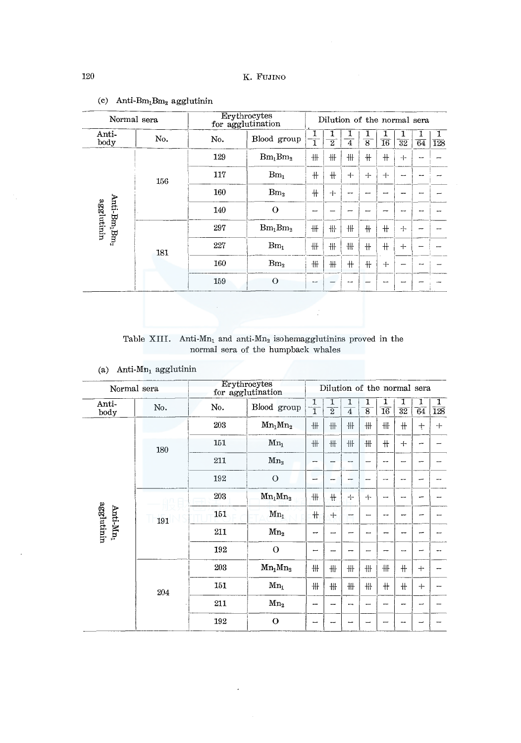| Normal sera                                        |     | Erythrocytes<br>for agglutination |                  | Dilution of the normal sera |                |     |                |     |     |                 |     |  |  |
|----------------------------------------------------|-----|-----------------------------------|------------------|-----------------------------|----------------|-----|----------------|-----|-----|-----------------|-----|--|--|
| Anti-<br>body                                      | No. | No.                               | Blood group<br>ī |                             | $\overline{2}$ | 4   | $\overline{8}$ | 16  | 32  | $\overline{64}$ | 128 |  |  |
|                                                    |     | 129                               | $Bm_1Bm_2$       | 卌                           | 卅              | ₩   | $+$            | $+$ | $+$ |                 |     |  |  |
|                                                    | 156 | 117                               | $Bm_1$           | $+$                         | $+$            | $+$ | $+$            | $+$ | --- |                 |     |  |  |
|                                                    |     | 160                               | Bm <sub>2</sub>  | $+$                         | $+$            | -   | −              |     |     |                 |     |  |  |
|                                                    |     | 140                               | $\Omega$         |                             |                |     |                |     |     |                 |     |  |  |
| Anti-Bm <sub>1</sub> Bm <sub>2</sub><br>agglutinin |     | 297                               | $Bm_1Bm_2$       | ╫                           | 卌              | 卅   | ╫              | $+$ | $+$ |                 |     |  |  |
|                                                    | 181 | 227                               | Bm <sub>1</sub>  | 卅                           | ₩              | ╫   | #              | #   | $+$ |                 |     |  |  |
|                                                    |     | 160                               | Bm <sub>2</sub>  | ₩                           | 卅              | $+$ | ╫              | $+$ |     |                 |     |  |  |
|                                                    |     | 159                               | $\Omega$         | مسد                         |                |     |                | --  |     |                 |     |  |  |
|                                                    |     |                                   |                  |                             |                |     |                |     |     |                 |     |  |  |

# (c) Anti- $Bm_1Bm_2$  agglutinin

Table XIII. Anti-Mn<sub>1</sub> and anti-Mn<sub>2</sub> isohemagglutinins proved in the normal sera of the humpback whales

(a) Anti-Mn<sub>1</sub> agglutinin

| Normal sera   |     |     | Erythrocytes<br>for agglutination | Dilution of the normal sera |                          |                          |                          |                      |                      |                          |          |  |  |  |
|---------------|-----|-----|-----------------------------------|-----------------------------|--------------------------|--------------------------|--------------------------|----------------------|----------------------|--------------------------|----------|--|--|--|
| Anti-<br>body | No. | No. | Blood group                       | 1<br>$\overline{1}$         | 1<br>$\overline{2}$      | 1<br>$\overline{4}$      | 1<br>$\overline{8}$      | ┻<br>$\overline{16}$ | T<br>$\overline{32}$ | 1<br>64                  | ī<br>128 |  |  |  |
|               |     | 203 | $Mn_1Mn_2$                        | 卌                           | ₩                        | #                        | ₩                        | ₩                    | $\#$                 | $\pm$                    | $+$      |  |  |  |
|               | 180 | 151 | $Mn_1$                            | 卌                           | ₩                        | 卅                        | $\ddagger\ddagger$       | #                    | $+$                  |                          |          |  |  |  |
|               |     | 211 | Mn <sub>2</sub>                   | -                           | --                       | --                       |                          | --                   |                      |                          |          |  |  |  |
|               |     | 192 | $\circ$                           | ÷                           |                          | --                       |                          | me.                  | -                    |                          |          |  |  |  |
|               |     | 203 | $Mn_1Mn_2$                        | ₩                           | #                        | $+$                      | $+$                      | ⊷                    |                      |                          |          |  |  |  |
| Anti-M $n_1$  | 191 | 151 | $Mn_1$                            | $+$                         | $+$                      | ⊷                        |                          |                      |                      | ÷                        |          |  |  |  |
| agglutinin    |     | 211 | Mn <sub>2</sub>                   | -                           | $\overline{\phantom{0}}$ |                          | -                        | --                   | --                   | --                       |          |  |  |  |
|               |     | 192 | $\Omega$                          | $\overline{\phantom{0}}$    |                          |                          |                          | -                    | ---                  | $\overline{\phantom{0}}$ |          |  |  |  |
|               |     | 203 | $Mn_1Mn_2$                        | ₩                           | 卌                        | 卅                        | 卅                        | ₩                    | $+$                  | $+$                      |          |  |  |  |
|               | 204 | 151 | $Mn_1$                            | 卅                           | ₩                        | #                        | ₩                        | #                    | $+$                  | $+$                      |          |  |  |  |
|               |     | 211 | Mn <sub>2</sub>                   | -                           | $\overline{\phantom{0}}$ | $\overline{\phantom{a}}$ | $\overline{\phantom{0}}$ | -                    | -                    | مسد                      |          |  |  |  |
|               |     | 192 | $\mathbf{o}$                      |                             |                          |                          |                          |                      |                      |                          |          |  |  |  |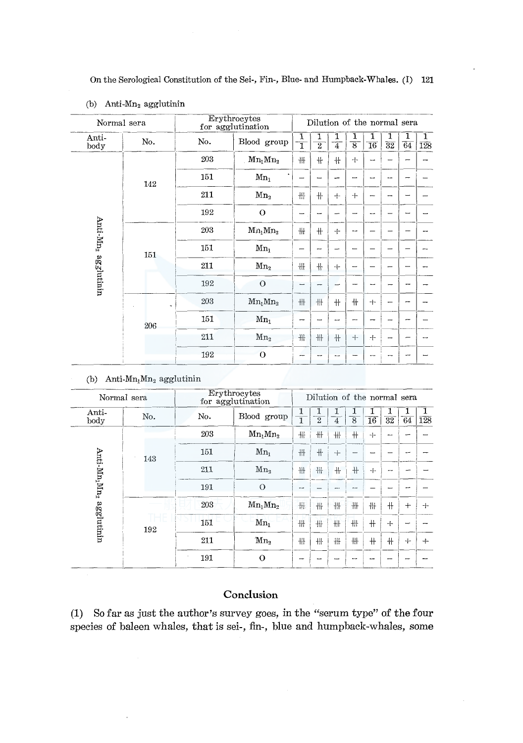| Normal sera                     |         |              | Erythrocytes<br>for agglutination |                          | Dilution of the normal sera |                |                          |                      |                            |                 |                       |
|---------------------------------|---------|--------------|-----------------------------------|--------------------------|-----------------------------|----------------|--------------------------|----------------------|----------------------------|-----------------|-----------------------|
| Anti-<br>body                   | No.     | No.          | Blood group                       | 1<br>$\overline{1}$      | 1<br>$\overline{2}$         | $\overline{4}$ | $\overline{8}$           | 1<br>$\overline{16}$ | $\overline{3}\overline{2}$ | $\overline{64}$ | ı<br>$\overline{128}$ |
|                                 |         | 203          | $Mn_1Mn_2$                        | 卌                        | ╫                           | ╫              | $+$                      |                      |                            |                 |                       |
|                                 | 142     | 151          | $Mn_1$                            |                          |                             |                | ╾                        | --                   |                            |                 |                       |
|                                 |         | 211          | Mn <sub>2</sub>                   | 冊                        | $+$                         | $+$            | $+$                      | -                    |                            |                 |                       |
|                                 |         | 192          | $\mathbf O$                       | $\overline{\phantom{a}}$ |                             |                | $\overline{\phantom{0}}$ | --                   |                            |                 |                       |
|                                 |         | 203          | $Mn_1Mn_2$                        | ₩.                       | $+$                         | ÷              | --                       |                      |                            |                 |                       |
|                                 | 151     | 151          | $Mn_1$                            |                          |                             |                |                          |                      |                            |                 |                       |
| Anti-Mn <sub>2</sub> agglutinin |         | 211          | Mn <sub>2</sub>                   | 卅                        | ₩                           | $+$            |                          |                      |                            |                 |                       |
|                                 |         | 192          | $\overline{O}$                    |                          | --                          |                |                          | ∽                    |                            |                 |                       |
|                                 | $\, \,$ | 203          | $Mn_1Mn_2$                        | 卌                        | $\!+\!$                     | $+$            | $+$                      | $+$                  |                            |                 |                       |
|                                 | 206     | 151          | $Mn_1$                            | -                        |                             | ---            | ---                      |                      |                            |                 |                       |
|                                 |         | 211          | Mn <sub>2</sub>                   | 卅                        | 卄                           | $+$            | $+$                      | 十                    | -                          |                 |                       |
|                                 | 192     | $\mathbf{O}$ | --                                |                          |                             |                |                          | --                   |                            |                 |                       |

#### (b) Anti-Mn<sub>2</sub> agglutinin

(b) Anti- $Mn_1Mn_2$  agglutinin

|                                      | Normal sera | Erythrocytes<br>for agglutination |                 | Dilution of the normal sera |                |     |                |                 |                      |     |     |  |  |
|--------------------------------------|-------------|-----------------------------------|-----------------|-----------------------------|----------------|-----|----------------|-----------------|----------------------|-----|-----|--|--|
| Anti-<br>body                        | No.         | No.                               | Blood group     |                             | $\overline{2}$ | 4   | $\overline{8}$ | $\overline{16}$ | T<br>$\overline{32}$ | 64  | 128 |  |  |
|                                      |             | 203                               | $Mn_1Mn_2$      | 卄                           | 卄              | 卅   | ╫              | $+$             | ---                  |     |     |  |  |
|                                      | 143         | 151                               | $Mn_i$          | #                           | 卄              | $+$ |                |                 |                      |     |     |  |  |
| Anti-Mn <sub>i</sub> Mn <sub>2</sub> |             | 211                               | M <sub>n</sub>  | ₩                           | 卄              | ╫   | ╫              | $+$             | --                   |     |     |  |  |
|                                      |             | 191                               | $\Omega$        | --                          |                |     | man.           |                 |                      |     |     |  |  |
|                                      |             | 203                               | $Mn_1Mn_2$      | 冊                           | 卅              | 卄   | 卄              | ╫               | 卄                    | $+$ | $+$ |  |  |
| agglutinin                           | 192         | 151                               | $Mn_1$          | #                           | 卅              | 冊   | 卄              | $+$             | $+$                  |     |     |  |  |
|                                      |             | 211                               | Mn <sub>2</sub> | 卌                           | 冊              | 卄   | 卄              | $+$             | $+$                  | $+$ | $+$ |  |  |
|                                      |             | 191                               | $\Omega$        |                             |                |     |                | --              |                      |     |     |  |  |

# Conclusion

(1) So far as just the author's survey goes, in the "serum type" of the four species of baleen whales, that is sei-, fin-, blue and humpback-whales, some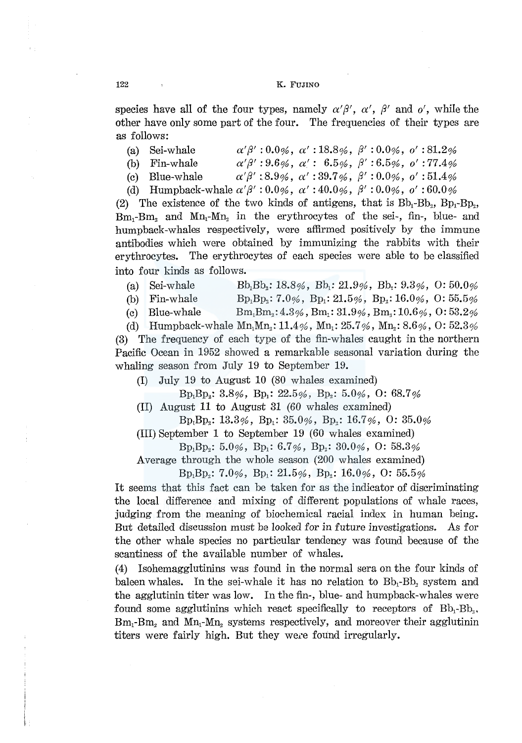#### 122 K. FUJINO

species have all of the four types, namely  $\alpha' \beta'$ ,  $\alpha'$ ,  $\beta'$  and  $\alpha'$ , while the other have only some part of the four. The frequencies of their types are as follows:

- (a) Sei-whale  $\alpha' \beta' : 0.0\%$ ,  $\alpha' : 18.8\%$ ,  $\beta' : 0.0\%$ ,  $\alpha' : 81.2\%$
- (b) Fin-whale  $\alpha'\beta':9.6\%$ ,  $\alpha':6.5\%$ ,  $\beta':6.5\%$ ,  $o':77.4\%$
- (c) Blue-whale  $\alpha' \beta'$ : 8.9%,  $\alpha'$ : 39.7%,  $\beta'$ : 0.0%,  $o'$ : 51.4%
- (d) Humpback-whale  $\alpha' \beta'$  : 0.0%,  $\alpha'$  : 40.0%,  $\beta'$  : 0.0%,  $o'$  : 60.0%

(2) The existence of the two kinds of antigens, that is  $Bb_1 - Bb_2$ ,  $Bp_1 - Bp_2$ ,  $Bm_1-Bm_2$  and  $Mn_1-Mn_2$  in the erythrocytes of the sei-, fin-, blue- and humpback-whales respectively, were affirmed positively by the immune antibodies which were obtained by immunizing the rabbits with their erythrocytes. The erythrocytes of each species were able to be classified into four kinds as follows.

- (a) Sei-whale  $Bb_1Bb_2: 18.8\%$ ,  $Bb_1: 21.9\%$ ,  $Bb_2: 9.3\%$ ,  $0: 50.0\%$
- (b) Fin-whale  $\text{Bp}_1\text{Bp}_2$ : 7.0%,  $\text{Bp}_1$ : 21.5%,  $\text{Bp}_2$ : 16.0%, 0: 55.5%
- (c) Blue-whale  $\text{Bm}_1\text{Bm}_2$ :  $4.3\%$ ,  $\text{Bm}_1$ :  $31.9\%$ ,  $\text{Bm}_2$ :  $10.6\%$ ,  $0:53.2\%$

(d) Humpback-whale  $Mn_1Mn_2$ : 11.4%,  $Mn_1$ : 25.7%,  $Mn_2$ : 8.6%, 0: 52.3% (3) The frequency of each type of the fin-whales caught in the northern Pacific Ocean in 1952 showed a remarkable seasonal variation during the whaling season from July 19 to September 19.

(I) July 19 to August 10 (80 whales examined)

 $Bp_1Bp_2$ : 3.8%,  $Bp_1$ : 22.5%,  $Bp_2$ : 5.0%, O: 68.7%

(II) August 11 to August 31 (60 whales examined)

 $Bp_1Bp_2$ : 13.3%,  $Bp_1$ : 35.0%,  $Bp_2$ : 16.7%, 0: 35.0%

(III) September 1 to September 19 (60 whales examined)

 $Bp_1Bp_2$ : 5.0%,  $Bp_1$ : 6.7%,  $Bp_2$ : 30.0%, O: 58.3%

Average through the whole season (200 whales examined)

 $Bp_1Bp_2$ : 7.0%,  $Bp_1$ : 21.5%,  $Bp_2$ : 16.0%, 0: 55.5%

It seems that this fact can be taken for as the indicator of discriminating the local difference and mixing of different populations of whale races, judging from the meaning of biochemical racial index in human being. But detailed discussion must be looked for in future investigations. As for the other whale species no particular tendency was found because of the scantiness of the available number of whales.

(4) Isohemagglutinins was found in the normal sera on the four kinds of baleen whales. In the sei-whale it has no relation to  $Bb_1$ -Bb, system and the agglutinin titer was low. In the fin-, blue- and humpback-whales were found some agglutining which react specifically to receptors of  $Bb_1-Bb_2$ , Bm<sub>1</sub>-Bm<sub>2</sub> and Mn<sub>1</sub>-Mn<sub>2</sub> systems respectively, and moreover their agglutinin titers were fairly high. But they were found irregularly.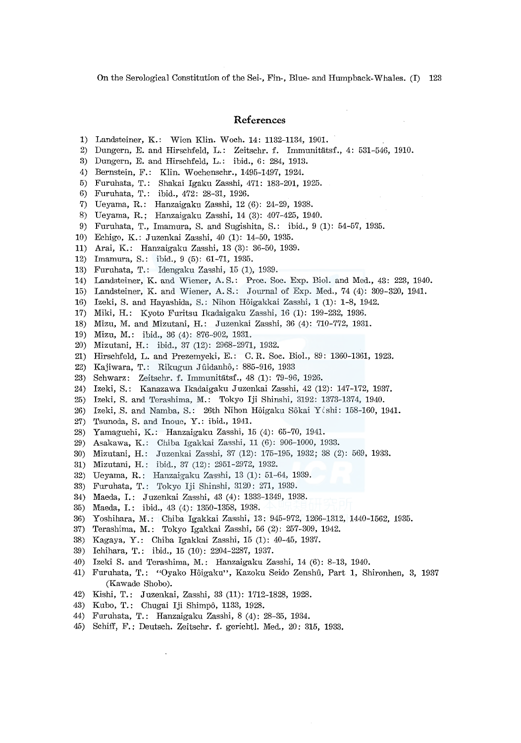On the Serological Constitution of the Sei-, Fin-, Blue- and Humpback-Whales. (I) 123

#### **References**

- 1) Landsteiner, K.: Wien Klin. Woch. 14: 1132-1134, 1901.
- 2) Dungern, E. and Hirschfeld, L.: Zeitschr. f. Immunitatsf., 4: 531-546, 1910.
- 3) Dungern, E. and Hirschfeld, L.: ibid., 6: 284, 1913.
- 4) Bernstein, F.: Klin. Wochenschr., 1495-1497, 1924.
- 5) Furuhata, T.: Shakai Igaku Zasshi, 471: 183-201, 1925.
- 6) Furuhata, T.: ibid., 472: 28-31, 1926.
- 7) Ueyama, R.: Hanzaigaku Zasshi, 12 (6): 24-29, 1938.
- 8) Ueyama, R.; Hanzaigaku Zasshi, 14 (3): 407-425, 1940.
- 9) Furuhata, T., Imamura, S. and Sugishita, S.: ibid., 9 (1): 54-57, 1935.
- 10) Echigo, K.: Juzenkai Zasshi, 40 (1): 14-50, 1935.
- 11) Arai, K.: Hanzaigaku Zasshi, 13 (3): 36-50, 1939.
- 12) Imamura, S.: ibid., 9 (5): 61-71, 1935.
- 13) Furuhata, T.: Idengaku Zasshi, 15 (1), 1939.
- 14) Landsteiner, K. and Wiener, A. S.: Proc. Soc. Exp. Biol. and Med., 43: 223, 1940.
- 15) Landsteiner, K. and Wiener, A. S.: Journal of Exp. Med., 74 (4): 309-320, 1941.
- 16) Izeki, S. and Hayashida, S.: Nihon Hoigakkai Zasshi, 1 (1): 1-8, 1942.
- 17) Miki, H.: Kyoto Furitsu Ikadaigaku Zasshi, 16 (1): 199-232, 1936.
- 18) Mizu, M. and Mizutani, H.: Juzenkai Zasshi, 36 (4): 710-772, 1931.
- 19) Mizu, M.: ibid., 36 (4): 876-902, 1931.
- 20) Mizutani, H.: ibid., 37 (12): 2968-2971, 1932.
- 21) Hirschfeld, L. and Prezemycki, E.: C.R. Soc. Biol., 89: 1360-1361, 1923.
- 22) Kajiwara, T.: Rikugun Jûidanhô,: 885-916, 1933
- 23) Schwarz: Zeitschr. f. Immunitatsf., 48 (1): 79-96, 1926.
- 24) Izeki, S.: Kanazawa Ikadaigaku Juzenkai Zasshi, 42 (12): 147-172, 1937.
- 25) Izeki, S. and Terashima, M.: Tokyo Iji Shinshi, 3192: 1373-1374, 1940.
- 26) Izeki, S. and Namba, S.: 26th Nihon Hôigaku Sôkai Y (shi: 158-160, 1941.
- 27) Tsunoda, S. and Inoue, Y.: ibid., 1941.
- 28) Yamaguchi, K.: Hanzaigaku Zasshi, 15 (4): 65-70, 1941.
- 29) Asakawa, K.: Chiba Igakkai Zasshi, 11 (6): 906-1000, 1933.
- 30) Mizutani, H.: .Juzenkai Zasshi, 37 (12): 175-195, 1932; 38 (2): 569, 1933.
- 31) Mizutani, H.: ibid., 37 (12): 2951-2972, 1932.
- 32) Ueyama, R.: Hanzaigaku Zasshi, 13 (1): 51-64, 1939.
- 33) Furuhata, T.: Tokyo Iji Shinshi, 3120: 271, 1939.
- 34) Maeda, I.: Juzenkai Zasshi, 43 (4): 1333-1349, 1938.
- 35) Maeda, I.: ibid., 43 (4): 1350-1358, 1938.
- 36) Yoshihara, M.: Chiba Igakkai Zasshi, 13: 945-972, 1266-1312, 1440-1562, 1935.
- 37) Terashima, M.: Tokyo Igakkai Zasshi, 56 (2): 257-309, 1942.
- 38) Kagaya, Y.: Chiba Igakkai Zasshi, 15 (1): 40-45, 1937.
- 39) Ichihara, T.: ibid., 15 (10): 2204-2287, 1937.
- 40) Izeki S. and Terashima, M.: Hanzaigaku Zasshi, 14 (6): 8-13, 1940.
- 41) Furuhata, T.: "Oyako Hôigaku", Kazoku Seido Zenshû, Part 1, Shironhen, 3, 1937 (Kawade Shobo).
- 42) Kishi, T.: Juzenkai, Zasshi, 33 (11): 1'?12-1828, 1928.
- 43) Kubo, T.: Chugai Iji Shimpô, 1133, 1928.
- 44) Furuhata, T.: Hanzaigaku Zasshi, 8 (4): 28-35, 1934.
- 45) Schiff, F.: Deutsch. Zeitschr. f. gerichtl. Med., 20: 315, 1933.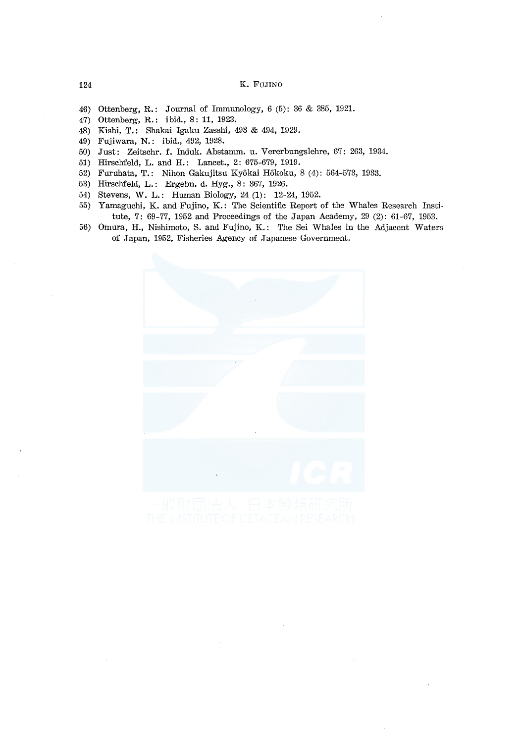#### 124 K. FUJINO

- 46) Ottenberg, R.: Journal of Immunology, 6 (5): 36 & 385, 1921.
- 47) Ottenberg, R.: ibid., 8: 11, 1923.
- 48) Kishi, T.: Shakai Igaku Zasshi, 493 & 494, 1929.
- 49) Fujiwara, N.: ibid., 492, 1928.
- 50) Just: Zeitschr. f. Induk. Abstamm. u. Vererbungslehre, 67: 263, 1934.
- 51) Hirschfeld, L. and H.: Lancet., 2: 675-679, 1919.
- 52) Furuhata, T.: Nihon Gakujitsu Kyokai Hokoku, 8 (4): 564-573, 1933.
- 53) Hirschfeld, L.: Ergebn. d. Hyg., 8: 367, 1926.
- 54) Stevens, W. L.: Human Biology, 24 (1): 12-24, 1952.
- 55) Yamaguchi, K. and Fujino, K.: The Scientific Report of the Whales Research Institute, 7: 69-77, 1952 and Proceedings of the Japan Academy, 29 (2): 61-67, 1953.
- 56) Omura, H., Nishimoto, S. and Fujino, K.: The Sei Whales in the Adjacent Waters of Japan, 1952, Fisheries Agency of Japanese Government.